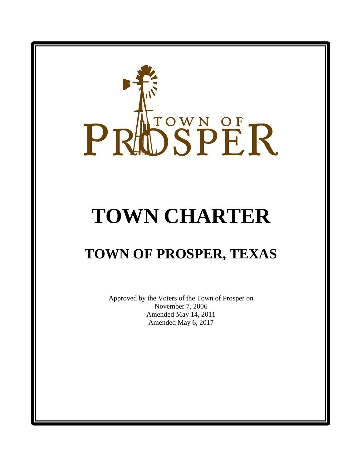# PRIDSPER

# **TOWN CHARTER**

# **TOWN OF PROSPER, TEXAS**

Approved by the Voters of the Town of Prosper on November 7, 2006 Amended May 14, 2011 Amended May 6, 2017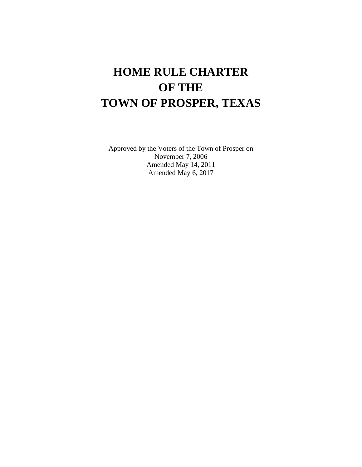## **HOME RULE CHARTER OF THE TOWN OF PROSPER, TEXAS**

Approved by the Voters of the Town of Prosper on November 7, 2006 Amended May 14, 2011 Amended May 6, 2017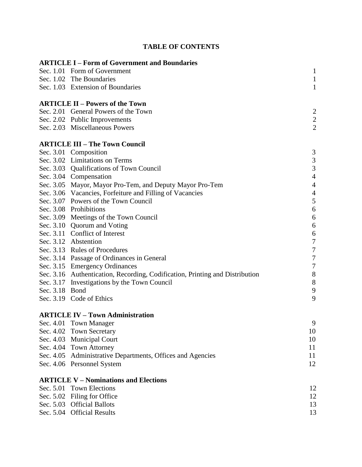|                | <b>ARTICLE I - Form of Government and Boundaries</b>                         |                  |
|----------------|------------------------------------------------------------------------------|------------------|
|                | Sec. 1.01 Form of Government                                                 | $\mathbf{1}$     |
|                | Sec. 1.02 The Boundaries                                                     | $\mathbf{1}$     |
|                | Sec. 1.03 Extension of Boundaries                                            | $\mathbf{1}$     |
|                | <b>ARTICLE II – Powers of the Town</b>                                       |                  |
|                | Sec. 2.01 General Powers of the Town                                         | 2                |
|                | Sec. 2.02 Public Improvements                                                | $\frac{2}{2}$    |
|                | Sec. 2.03 Miscellaneous Powers                                               |                  |
|                | <b>ARTICLE III - The Town Council</b>                                        |                  |
|                | Sec. 3.01 Composition                                                        | 3                |
|                | Sec. 3.02 Limitations on Terms                                               | 3                |
|                | Sec. 3.03 Qualifications of Town Council                                     | $\overline{3}$   |
|                | Sec. 3.04 Compensation                                                       | $\overline{4}$   |
|                | Sec. 3.05 Mayor, Mayor Pro-Tem, and Deputy Mayor Pro-Tem                     | $\overline{4}$   |
|                | Sec. 3.06 Vacancies, Forfeiture and Filling of Vacancies                     | $\overline{4}$   |
|                | Sec. 3.07 Powers of the Town Council                                         | 5                |
|                | Sec. 3.08 Prohibitions                                                       | $\boldsymbol{6}$ |
|                | Sec. 3.09 Meetings of the Town Council                                       | $\boldsymbol{6}$ |
|                | Sec. 3.10 Quorum and Voting                                                  | 6                |
|                | Sec. 3.11 Conflict of Interest                                               | 6                |
|                | Sec. 3.12 Abstention                                                         | $\boldsymbol{7}$ |
|                | Sec. 3.13 Rules of Procedures                                                | $\overline{7}$   |
|                | Sec. 3.14 Passage of Ordinances in General                                   | $\boldsymbol{7}$ |
|                | Sec. 3.15 Emergency Ordinances                                               | $\boldsymbol{7}$ |
|                | Sec. 3.16 Authentication, Recording, Codification, Printing and Distribution | $8\,$            |
|                | Sec. 3.17 Investigations by the Town Council                                 | $8\,$            |
| Sec. 3.18 Bond |                                                                              | $\mathbf{9}$     |
|                | Sec. 3.19 Code of Ethics                                                     | 9                |
|                | <b>ARTICLE IV - Town Administration</b>                                      |                  |
|                | Sec. 4.01 Town Manager                                                       | 9                |
|                | Sec. 4.02 Town Secretary                                                     | 10               |
|                | Sec. 4.03 Municipal Court                                                    | 10               |
|                | Sec. 4.04 Town Attorney                                                      | 11               |
|                | Sec. 4.05 Administrative Departments, Offices and Agencies                   | 11               |
|                | Sec. 4.06 Personnel System                                                   | 12               |
|                | <b>ARTICLE V - Nominations and Elections</b>                                 |                  |
|                | Sec. 5.01 Town Elections                                                     | 12               |
|                | Sec. 5.02 Filing for Office                                                  | 12               |
|                | Sec. 5.03 Official Ballots                                                   | 13               |
|                | Sec. 5.04 Official Results                                                   | 13               |
|                |                                                                              |                  |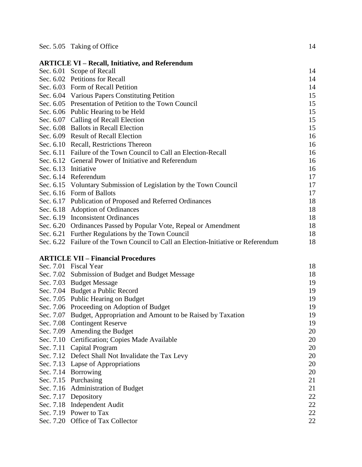|                      | <b>ARTICLE VI - Recall, Initiative, and Referendum</b>                             |    |
|----------------------|------------------------------------------------------------------------------------|----|
|                      | Sec. 6.01 Scope of Recall                                                          | 14 |
|                      | Sec. 6.02 Petitions for Recall                                                     | 14 |
|                      | Sec. 6.03 Form of Recall Petition                                                  | 14 |
|                      | Sec. 6.04 Various Papers Constituting Petition                                     | 15 |
|                      | Sec. 6.05 Presentation of Petition to the Town Council                             | 15 |
|                      | Sec. 6.06 Public Hearing to be Held                                                | 15 |
|                      | Sec. 6.07 Calling of Recall Election                                               | 15 |
|                      | Sec. 6.08 Ballots in Recall Election                                               | 15 |
|                      | Sec. 6.09 Result of Recall Election                                                | 16 |
|                      | Sec. 6.10 Recall, Restrictions Thereon                                             | 16 |
|                      | Sec. 6.11 Failure of the Town Council to Call an Election-Recall                   | 16 |
|                      | Sec. 6.12 General Power of Initiative and Referendum                               | 16 |
| Sec. 6.13 Initiative |                                                                                    | 16 |
|                      | Sec. 6.14 Referendum                                                               | 17 |
|                      | Sec. 6.15 Voluntary Submission of Legislation by the Town Council                  | 17 |
|                      | Sec. 6.16 Form of Ballots                                                          | 17 |
|                      | Sec. 6.17 Publication of Proposed and Referred Ordinances                          | 18 |
|                      | Sec. 6.18 Adoption of Ordinances                                                   | 18 |
|                      | Sec. 6.19 Inconsistent Ordinances                                                  | 18 |
|                      | Sec. 6.20 Ordinances Passed by Popular Vote, Repeal or Amendment                   | 18 |
|                      | Sec. 6.21 Further Regulations by the Town Council                                  | 18 |
|                      | Sec. 6.22 Failure of the Town Council to Call an Election-Initiative or Referendum | 18 |
|                      | <b>ARTICLE VII - Financial Procedures</b>                                          |    |
|                      | Sec. 7.01 Fiscal Year                                                              | 18 |
|                      | Sec. 7.02 Submission of Budget and Budget Message                                  | 18 |
|                      | Sec. 7.03 Budget Message                                                           | 19 |
|                      | Sec. 7.04 Budget a Public Record                                                   | 19 |
|                      | Sec. 7.05 Public Hearing on Budget                                                 | 19 |
|                      | Sec. 7.06 Proceeding on Adoption of Budget                                         | 19 |
|                      | See 7.07 Dudget Appropriation and Amount to be Deigad by Toyotion                  | 10 |

| Sec. 7.04 Budget a Public Record                                    | 19 |
|---------------------------------------------------------------------|----|
| Sec. 7.05 Public Hearing on Budget                                  | 19 |
| Sec. 7.06 Proceeding on Adoption of Budget                          | 19 |
| Sec. 7.07 Budget, Appropriation and Amount to be Raised by Taxation | 19 |
| Sec. 7.08 Contingent Reserve                                        | 19 |
| Sec. 7.09 Amending the Budget                                       | 20 |
| Sec. 7.10 Certification; Copies Made Available                      | 20 |
| Sec. 7.11 Capital Program                                           | 20 |
| Sec. 7.12 Defect Shall Not Invalidate the Tax Levy                  | 20 |
| Sec. 7.13 Lapse of Appropriations                                   | 20 |
| Sec. 7.14 Borrowing                                                 | 20 |
| Sec. 7.15 Purchasing                                                | 21 |
| Sec. 7.16 Administration of Budget                                  | 21 |
| Sec. 7.17 Depository                                                | 22 |
| Sec. 7.18 Independent Audit                                         | 22 |
| Sec. 7.19 Power to Tax                                              | 22 |
| Sec. 7.20 Office of Tax Collector                                   | 22 |
|                                                                     |    |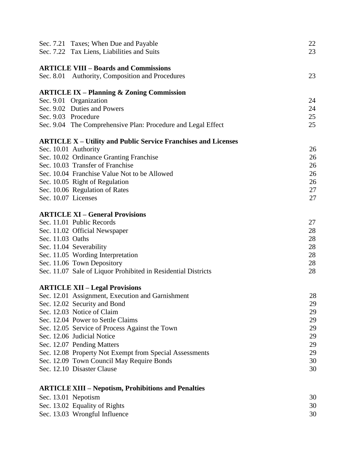|                     | Sec. 7.21 Taxes; When Due and Payable<br>Sec. 7.22 Tax Liens, Liabilities and Suits | 22<br>23 |
|---------------------|-------------------------------------------------------------------------------------|----------|
|                     | <b>ARTICLE VIII - Boards and Commissions</b>                                        |          |
|                     | Sec. 8.01 Authority, Composition and Procedures                                     | 23       |
|                     | <b>ARTICLE IX – Planning &amp; Zoning Commission</b>                                |          |
|                     | Sec. 9.01 Organization                                                              | 24       |
|                     | Sec. 9.02 Duties and Powers                                                         | 24       |
| Sec. 9.03 Procedure |                                                                                     | 25       |
|                     | Sec. 9.04 The Comprehensive Plan: Procedure and Legal Effect                        | 25       |
|                     | <b>ARTICLE X – Utility and Public Service Franchises and Licenses</b>               |          |
|                     | Sec. 10.01 Authority                                                                | 26       |
|                     | Sec. 10.02 Ordinance Granting Franchise                                             | 26       |
|                     | Sec. 10.03 Transfer of Franchise                                                    | 26       |
|                     | Sec. 10.04 Franchise Value Not to be Allowed                                        | 26       |
|                     | Sec. 10.05 Right of Regulation                                                      | 26       |
|                     | Sec. 10.06 Regulation of Rates                                                      | 27       |
| Sec. 10.07 Licenses |                                                                                     | 27       |
|                     | <b>ARTICLE XI - General Provisions</b>                                              |          |
|                     | Sec. 11.01 Public Records                                                           | 27       |
|                     | Sec. 11.02 Official Newspaper                                                       | 28       |
| Sec. 11.03 Oaths    |                                                                                     | 28       |
|                     | Sec. 11.04 Severability                                                             | 28       |
|                     | Sec. 11.05 Wording Interpretation                                                   | 28       |
|                     | Sec. 11.06 Town Depository                                                          | 28       |
|                     | Sec. 11.07 Sale of Liquor Prohibited in Residential Districts                       | 28       |
|                     | <b>ARTICLE XII - Legal Provisions</b>                                               |          |
|                     | Sec. 12.01 Assignment, Execution and Garnishment                                    | 28       |
|                     | Sec. 12.02 Security and Bond                                                        | 29       |
|                     | Sec. 12.03 Notice of Claim                                                          | 29       |
|                     | Sec. 12.04 Power to Settle Claims                                                   | 29       |
|                     | Sec. 12.05 Service of Process Against the Town                                      | 29       |
|                     | Sec. 12.06 Judicial Notice                                                          | 29       |
|                     | Sec. 12.07 Pending Matters                                                          | 29       |
|                     | Sec. 12.08 Property Not Exempt from Special Assessments                             | 29       |
|                     | Sec. 12.09 Town Council May Require Bonds                                           | 30       |
|                     | Sec. 12.10 Disaster Clause                                                          | 30       |
|                     | <b>ARTICLE XIII - Nepotism, Prohibitions and Penalties</b>                          |          |
|                     | Sec. 13.01 Nepotism                                                                 | 30       |
|                     |                                                                                     | 30       |
|                     | Sec. 13.02 Equality of Rights                                                       |          |
|                     | Sec. 13.03 Wrongful Influence                                                       | 30       |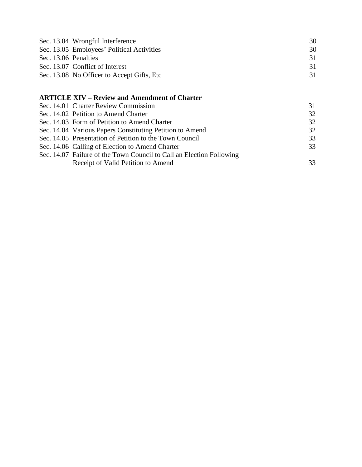|                      | Sec. 13.04 Wrongful Interference            | 30 |
|----------------------|---------------------------------------------|----|
|                      | Sec. 13.05 Employees' Political Activities  | 30 |
| Sec. 13.06 Penalties |                                             | 31 |
|                      | Sec. 13.07 Conflict of Interest             | 31 |
|                      | Sec. 13.08 No Officer to Accept Gifts, Etc. | 31 |

### **ARTICLE XIV – Review and Amendment of Charter**

| Sec. 14.01 Charter Review Commission                                 | 31 |
|----------------------------------------------------------------------|----|
| Sec. 14.02 Petition to Amend Charter                                 | 32 |
| Sec. 14.03 Form of Petition to Amend Charter                         | 32 |
| Sec. 14.04 Various Papers Constituting Petition to Amend             | 32 |
| Sec. 14.05 Presentation of Petition to the Town Council              | 33 |
| Sec. 14.06 Calling of Election to Amend Charter                      | 33 |
| Sec. 14.07 Failure of the Town Council to Call an Election Following |    |
| Receipt of Valid Petition to Amend                                   | 33 |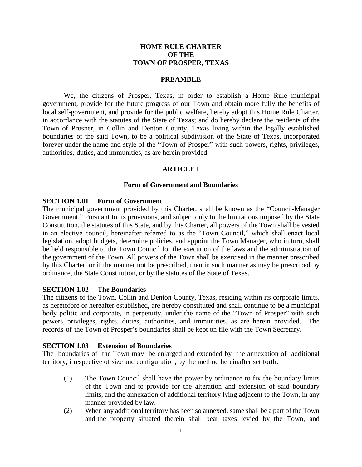### **HOME RULE CHARTER OF THE TOWN OF PROSPER, TEXAS**

### **PREAMBLE**

We, the citizens of Prosper, Texas, in order to establish a Home Rule municipal government, provide for the future progress of our Town and obtain more fully the benefits of local self-government, and provide for the public welfare, hereby adopt this Home Rule Charter, in accordance with the statutes of the State of Texas; and do hereby declare the residents of the Town of Prosper, in Collin and Denton County, Texas living within the legally established boundaries of the said Town, to be a political subdivision of the State of Texas, incorporated forever under the name and style of the "Town of Prosper" with such powers, rights, privileges, authorities, duties, and immunities, as are herein provided.

### **ARTICLE I**

### **Form of Government and Boundaries**

### **SECTION 1.01 Form of Government**

The municipal government provided by this Charter, shall be known as the "Council-Manager Government." Pursuant to its provisions, and subject only to the limitations imposed by the State Constitution, the statutes of this State, and by this Charter, all powers of the Town shall be vested in an elective council, hereinafter referred to as the "Town Council," which shall enact local legislation, adopt budgets, determine policies, and appoint the Town Manager, who in turn, shall be held responsible to the Town Council for the execution of the laws and the administration of the government of the Town. All powers of the Town shall be exercised in the manner prescribed by this Charter, or if the manner not be prescribed, then in such manner as may be prescribed by ordinance, the State Constitution, or by the statutes of the State of Texas.

### **SECTION 1.02 The Boundaries**

The citizens of the Town, Collin and Denton County, Texas, residing within its corporate limits, as heretofore or hereafter established, are hereby constituted and shall continue to be a municipal body politic and corporate, in perpetuity, under the name of the "Town of Prosper" with such powers, privileges, rights, duties, authorities, and immunities, as are herein provided. The records of the Town of Prosper's boundaries shall be kept on file with the Town Secretary.

### **SECTION 1.03 Extension of Boundaries**

The boundaries of the Town may be enlarged and extended by the annexation of additional territory, irrespective of size and configuration, by the method hereinafter set forth:

- (1) The Town Council shall have the power by ordinance to fix the boundary limits of the Town and to provide for the alteration and extension of said boundary limits, and the annexation of additional territory lying adjacent to the Town, in any manner provided by law.
- (2) When any additional territory has been so annexed, same shall be a part of the Town and the property situated therein shall bear taxes levied by the Town, and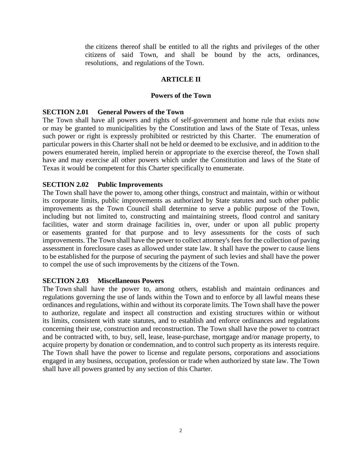the citizens thereof shall be entitled to all the rights and privileges of the other citizens of said Town, and shall be bound by the acts, ordinances, resolutions, and regulations of the Town.

### **ARTICLE II**

### **Powers of the Town**

### **SECTION 2.01 General Powers of the Town**

The Town shall have all powers and rights of self-government and home rule that exists now or may be granted to municipalities by the Constitution and laws of the State of Texas, unless such power or right is expressly prohibited or restricted by this Charter. The enumeration of particular powers in this Charter shall not be held or deemed to be exclusive, and in addition to the powers enumerated herein, implied herein or appropriate to the exercise thereof, the Town shall have and may exercise all other powers which under the Constitution and laws of the State of Texas it would be competent for this Charter specifically to enumerate.

### **SECTION 2.02 Public Improvements**

The Town shall have the power to, among other things, construct and maintain, within or without its corporate limits, public improvements as authorized by State statutes and such other public improvements as the Town Council shall determine to serve a public purpose of the Town, including but not limited to, constructing and maintaining streets, flood control and sanitary facilities, water and storm drainage facilities in, over, under or upon all public property or easements granted for that purpose and to levy assessments for the costs of such improvements. The Town shall have the power to collect attorney's fees for the collection of paving assessment in foreclosure cases as allowed under state law. It shall have the power to cause liens to be established for the purpose of securing the payment of such levies and shall have the power to compel the use of such improvements by the citizens of the Town.

### **SECTION 2.03 Miscellaneous Powers**

The Town shall have the power to, among others, establish and maintain ordinances and regulations governing the use of lands within the Town and to enforce by all lawful means these ordinances and regulations, within and without its corporate limits. The Town shall have the power to authorize, regulate and inspect all construction and existing structures within or without its limits, consistent with state statutes, and to establish and enforce ordinances and regulations concerning their use, construction and reconstruction. The Town shall have the power to contract and be contracted with, to buy, sell, lease, lease-purchase, mortgage and/or manage property, to acquire property by donation or condemnation, and to control such property as its interests require. The Town shall have the power to license and regulate persons, corporations and associations engaged in any business, occupation, profession or trade when authorized by state law. The Town shall have all powers granted by any section of this Charter.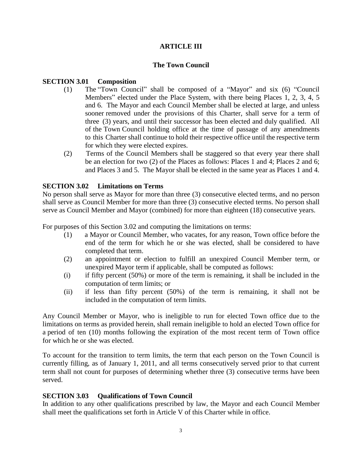### **ARTICLE III**

### **The Town Council**

### **SECTION 3.01 Composition**

- (1) The "Town Council" shall be composed of a "Mayor" and six (6) "Council Members" elected under the Place System, with there being Places 1, 2, 3, 4, 5 and 6. The Mayor and each Council Member shall be elected at large, and unless sooner removed under the provisions of this Charter, shall serve for a term of three (3) years, and until their successor has been elected and duly qualified. All of the Town Council holding office at the time of passage of any amendments to this Charter shall continue to hold their respective office until the respective term for which they were elected expires.
- (2) Terms of the Council Members shall be staggered so that every year there shall be an election for two (2) of the Places as follows: Places 1 and 4; Places 2 and 6; and Places 3 and 5. The Mayor shall be elected in the same year as Places 1 and 4.

### **SECTION 3.02 Limitations on Terms**

No person shall serve as Mayor for more than three (3) consecutive elected terms, and no person shall serve as Council Member for more than three (3) consecutive elected terms. No person shall serve as Council Member and Mayor (combined) for more than eighteen (18) consecutive years.

For purposes of this Section 3.02 and computing the limitations on terms:

- (1) a Mayor or Council Member, who vacates, for any reason, Town office before the end of the term for which he or she was elected, shall be considered to have completed that term.
- (2) an appointment or election to fulfill an unexpired Council Member term, or unexpired Mayor term if applicable, shall be computed as follows:
- (i) if fifty percent (50%) or more of the term is remaining, it shall be included in the computation of term limits; or
- (ii) if less than fifty percent (50%) of the term is remaining, it shall not be included in the computation of term limits.

Any Council Member or Mayor, who is ineligible to run for elected Town office due to the limitations on terms as provided herein, shall remain ineligible to hold an elected Town office for a period of ten (10) months following the expiration of the most recent term of Town office for which he or she was elected.

To account for the transition to term limits, the term that each person on the Town Council is currently filling, as of January 1, 2011, and all terms consecutively served prior to that current term shall not count for purposes of determining whether three (3) consecutive terms have been served.

### **SECTION 3.03 Qualifications of Town Council**

In addition to any other qualifications prescribed by law, the Mayor and each Council Member shall meet the qualifications set forth in Article V of this Charter while in office.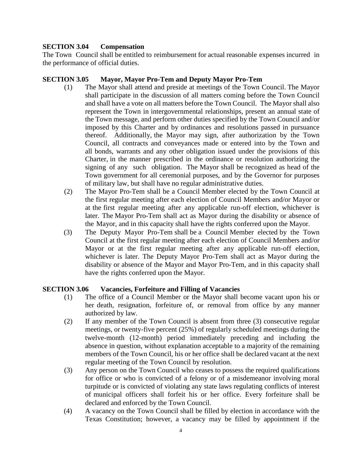### **SECTION 3.04 Compensation**

The Town Council shall be entitled to reimbursement for actual reasonable expenses incurred in the performance of official duties.

### **SECTION 3.05 Mayor, Mayor Pro-Tem and Deputy Mayor Pro-Tem**

- (1) The Mayor shall attend and preside at meetings of the Town Council. The Mayor shall participate in the discussion of all matters coming before the Town Council and shall have a vote on all matters before the Town Council. The Mayor shall also represent the Town in intergovernmental relationships, present an annual state of the Town message, and perform other duties specified by the Town Council and/or imposed by this Charter and by ordinances and resolutions passed in pursuance thereof. Additionally, the Mayor may sign, after authorization by the Town Council, all contracts and conveyances made or entered into by the Town and all bonds, warrants and any other obligation issued under the provisions of this Charter, in the manner prescribed in the ordinance or resolution authorizing the signing of any such obligation. The Mayor shall be recognized as head of the Town government for all ceremonial purposes, and by the Governor for purposes of military law, but shall have no regular administrative duties.
- (2) The Mayor Pro-Tem shall be a Council Member elected by the Town Council at the first regular meeting after each election of Council Members and/or Mayor or at the first regular meeting after any applicable run-off election, whichever is later. The Mayor Pro-Tem shall act as Mayor during the disability or absence of the Mayor, and in this capacity shall have the rights conferred upon the Mayor.
- (3) The Deputy Mayor Pro-Tem shall be a Council Member elected by the Town Council at the first regular meeting after each election of Council Members and/or Mayor or at the first regular meeting after any applicable run-off election, whichever is later. The Deputy Mayor Pro-Tem shall act as Mayor during the disability or absence of the Mayor and Mayor Pro-Tem, and in this capacity shall have the rights conferred upon the Mayor.

### **SECTION 3.06 Vacancies, Forfeiture and Filling of Vacancies**

- (1) The office of a Council Member or the Mayor shall become vacant upon his or her death, resignation, forfeiture of, or removal from office by any manner authorized by law.
- (2) If any member of the Town Council is absent from three (3) consecutive regular meetings, or twenty-five percent (25%) of regularly scheduled meetings during the twelve-month (12-month) period immediately preceding and including the absence in question, without explanation acceptable to a majority of the remaining members of the Town Council, his or her office shall be declared vacant at the next regular meeting of the Town Council by resolution.
- (3) Any person on the Town Council who ceases to possess the required qualifications for office or who is convicted of a felony or of a misdemeanor involving moral turpitude or is convicted of violating any state laws regulating conflicts of interest of municipal officers shall forfeit his or her office. Every forfeiture shall be declared and enforced by the Town Council.
- (4) A vacancy on the Town Council shall be filled by election in accordance with the Texas Constitution; however, a vacancy may be filled by appointment if the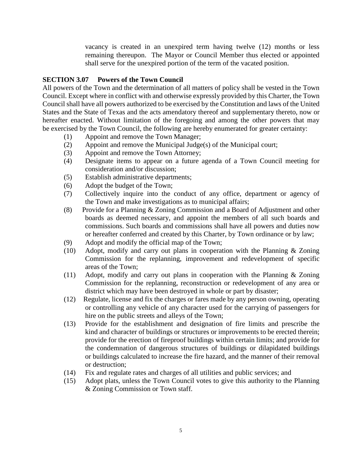vacancy is created in an unexpired term having twelve (12) months or less remaining thereupon. The Mayor or Council Member thus elected or appointed shall serve for the unexpired portion of the term of the vacated position.

### **SECTION 3.07 Powers of the Town Council**

All powers of the Town and the determination of all matters of policy shall be vested in the Town Council. Except where in conflict with and otherwise expressly provided by this Charter, the Town Council shall have all powers authorized to be exercised by the Constitution and laws of the United States and the State of Texas and the acts amendatory thereof and supplementary thereto, now or hereafter enacted. Without limitation of the foregoing and among the other powers that may be exercised by the Town Council, the following are hereby enumerated for greater certainty:

- (1) Appoint and remove the Town Manager;
- (2) Appoint and remove the Municipal Judge(s) of the Municipal court;
- (3) Appoint and remove the Town Attorney;
- (4) Designate items to appear on a future agenda of a Town Council meeting for consideration and/or discussion;
- (5) Establish administrative departments;
- (6) Adopt the budget of the Town;
- (7) Collectively inquire into the conduct of any office, department or agency of the Town and make investigations as to municipal affairs;
- (8) Provide for a Planning & Zoning Commission and a Board of Adjustment and other boards as deemed necessary, and appoint the members of all such boards and commissions. Such boards and commissions shall have all powers and duties now or hereafter conferred and created by this Charter, by Town ordinance or by law;
- (9) Adopt and modify the official map of the Town;
- (10) Adopt, modify and carry out plans in cooperation with the Planning & Zoning Commission for the replanning, improvement and redevelopment of specific areas of the Town;
- (11) Adopt, modify and carry out plans in cooperation with the Planning & Zoning Commission for the replanning, reconstruction or redevelopment of any area or district which may have been destroyed in whole or part by disaster;
- (12) Regulate, license and fix the charges or fares made by any person owning, operating or controlling any vehicle of any character used for the carrying of passengers for hire on the public streets and alleys of the Town;
- (13) Provide for the establishment and designation of fire limits and prescribe the kind and character of buildings or structures or improvements to be erected therein; provide for the erection of fireproof buildings within certain limits; and provide for the condemnation of dangerous structures of buildings or dilapidated buildings or buildings calculated to increase the fire hazard, and the manner of their removal or destruction;
- (14) Fix and regulate rates and charges of all utilities and public services; and
- (15) Adopt plats, unless the Town Council votes to give this authority to the Planning & Zoning Commission or Town staff.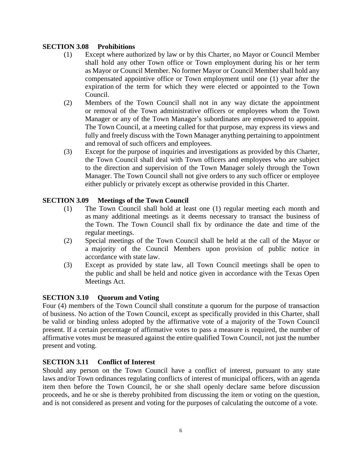### **SECTION 3.08 Prohibitions**

- (1) Except where authorized by law or by this Charter, no Mayor or Council Member shall hold any other Town office or Town employment during his or her term as Mayor or Council Member. No former Mayor or Council Member shall hold any compensated appointive office or Town employment until one (1) year after the expiration of the term for which they were elected or appointed to the Town Council.
- (2) Members of the Town Council shall not in any way dictate the appointment or removal of the Town administrative officers or employees whom the Town Manager or any of the Town Manager's subordinates are empowered to appoint. The Town Council, at a meeting called for that purpose, may express its views and fully and freely discuss with the Town Manager anything pertaining to appointment and removal of such officers and employees.
- (3) Except for the purpose of inquiries and investigations as provided by this Charter, the Town Council shall deal with Town officers and employees who are subject to the direction and supervision of the Town Manager solely through the Town Manager. The Town Council shall not give orders to any such officer or employee either publicly or privately except as otherwise provided in this Charter.

### **SECTION 3.09 Meetings of the Town Council**

- (1) The Town Council shall hold at least one (1) regular meeting each month and as many additional meetings as it deems necessary to transact the business of the Town. The Town Council shall fix by ordinance the date and time of the regular meetings.
- (2) Special meetings of the Town Council shall be held at the call of the Mayor or a majority of the Council Members upon provision of public notice in accordance with state law.
- (3) Except as provided by state law, all Town Council meetings shall be open to the public and shall be held and notice given in accordance with the Texas Open Meetings Act.

### **SECTION 3.10 Quorum and Voting**

Four (4) members of the Town Council shall constitute a quorum for the purpose of transaction of business. No action of the Town Council, except as specifically provided in this Charter, shall be valid or binding unless adopted by the affirmative vote of a majority of the Town Council present. If a certain percentage of affirmative votes to pass a measure is required, the number of affirmative votes must be measured against the entire qualified Town Council, not just the number present and voting.

### **SECTION 3.11 Conflict of Interest**

Should any person on the Town Council have a conflict of interest, pursuant to any state laws and/or Town ordinances regulating conflicts of interest of municipal officers, with an agenda item then before the Town Council, he or she shall openly declare same before discussion proceeds, and he or she is thereby prohibited from discussing the item or voting on the question, and is not considered as present and voting for the purposes of calculating the outcome of a vote.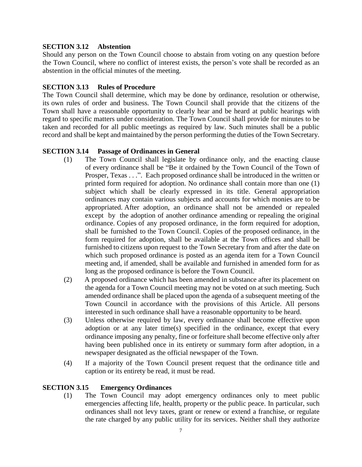### **SECTION 3.12 Abstention**

Should any person on the Town Council choose to abstain from voting on any question before the Town Council, where no conflict of interest exists, the person's vote shall be recorded as an abstention in the official minutes of the meeting.

### **SECTION 3.13 Rules of Procedure**

The Town Council shall determine, which may be done by ordinance, resolution or otherwise, its own rules of order and business. The Town Council shall provide that the citizens of the Town shall have a reasonable opportunity to clearly hear and be heard at public hearings with regard to specific matters under consideration. The Town Council shall provide for minutes to be taken and recorded for all public meetings as required by law. Such minutes shall be a public record and shall be kept and maintained by the person performing the duties of the Town Secretary.

### **SECTION 3.14 Passage of Ordinances in General**

- (1) The Town Council shall legislate by ordinance only, and the enacting clause of every ordinance shall be "Be it ordained by the Town Council of the Town of Prosper, Texas . . .". Each proposed ordinance shall be introduced in the written or printed form required for adoption. No ordinance shall contain more than one (1) subject which shall be clearly expressed in its title. General appropriation ordinances may contain various subjects and accounts for which monies are to be appropriated. After adoption, an ordinance shall not be amended or repealed except by the adoption of another ordinance amending or repealing the original ordinance. Copies of any proposed ordinance, in the form required for adoption, shall be furnished to the Town Council. Copies of the proposed ordinance, in the form required for adoption, shall be available at the Town offices and shall be furnished to citizens upon request to the Town Secretary from and after the date on which such proposed ordinance is posted as an agenda item for a Town Council meeting and, if amended, shall be available and furnished in amended form for as long as the proposed ordinance is before the Town Council.
- (2) A proposed ordinance which has been amended in substance after its placement on the agenda for a Town Council meeting may not be voted on at such meeting. Such amended ordinance shall be placed upon the agenda of a subsequent meeting of the Town Council in accordance with the provisions of this Article. All persons interested in such ordinance shall have a reasonable opportunity to be heard.
- (3) Unless otherwise required by law, every ordinance shall become effective upon adoption or at any later time(s) specified in the ordinance, except that every ordinance imposing any penalty, fine or forfeiture shall become effective only after having been published once in its entirety or summary form after adoption, in a newspaper designated as the official newspaper of the Town.
- (4) If a majority of the Town Council present request that the ordinance title and caption or its entirety be read, it must be read.

### **SECTION 3.15 Emergency Ordinances**

(1) The Town Council may adopt emergency ordinances only to meet public emergencies affecting life, health, property or the public peace. In particular, such ordinances shall not levy taxes, grant or renew or extend a franchise, or regulate the rate charged by any public utility for its services. Neither shall they authorize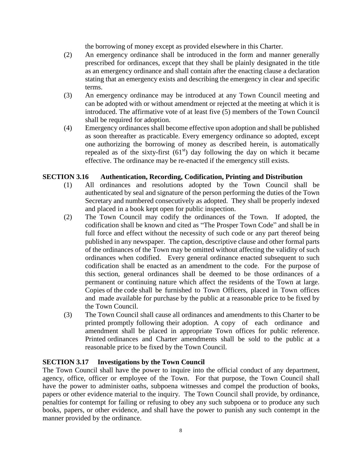the borrowing of money except as provided elsewhere in this Charter.

- (2) An emergency ordinance shall be introduced in the form and manner generally prescribed for ordinances, except that they shall be plainly designated in the title as an emergency ordinance and shall contain after the enacting clause a declaration stating that an emergency exists and describing the emergency in clear and specific terms.
- (3) An emergency ordinance may be introduced at any Town Council meeting and can be adopted with or without amendment or rejected at the meeting at which it is introduced. The affirmative vote of at least five (5) members of the Town Council shall be required for adoption.
- (4) Emergency ordinances shall become effective upon adoption and shall be published as soon thereafter as practicable. Every emergency ordinance so adopted, except one authorizing the borrowing of money as described herein, is automatically repealed as of the sixty-first  $(61<sup>st</sup>)$  day following the day on which it became effective. The ordinance may be re-enacted if the emergency still exists.

### **SECTION 3.16 Authentication, Recording, Codification, Printing and Distribution**

- (1) All ordinances and resolutions adopted by the Town Council shall be authenticated by seal and signature of the person performing the duties of the Town Secretary and numbered consecutively as adopted. They shall be properly indexed and placed in a book kept open for public inspection.
- (2) The Town Council may codify the ordinances of the Town. If adopted, the codification shall be known and cited as "The Prosper Town Code" and shall be in full force and effect without the necessity of such code or any part thereof being published in any newspaper. The caption, descriptive clause and other formal parts of the ordinances of the Town may be omitted without affecting the validity of such ordinances when codified. Every general ordinance enacted subsequent to such codification shall be enacted as an amendment to the code. For the purpose of this section, general ordinances shall be deemed to be those ordinances of a permanent or continuing nature which affect the residents of the Town at large. Copies of the code shall be furnished to Town Officers, placed in Town offices and made available for purchase by the public at a reasonable price to be fixed by the Town Council.
- (3) The Town Council shall cause all ordinances and amendments to this Charter to be printed promptly following their adoption. A copy of each ordinance and amendment shall be placed in appropriate Town offices for public reference. Printed ordinances and Charter amendments shall be sold to the public at a reasonable price to be fixed by the Town Council.

### **SECTION 3.17 Investigations by the Town Council**

The Town Council shall have the power to inquire into the official conduct of any department, agency, office, officer or employee of the Town. For that purpose, the Town Council shall have the power to administer oaths, subpoena witnesses and compel the production of books, papers or other evidence material to the inquiry. The Town Council shall provide, by ordinance, penalties for contempt for failing or refusing to obey any such subpoena or to produce any such books, papers, or other evidence, and shall have the power to punish any such contempt in the manner provided by the ordinance.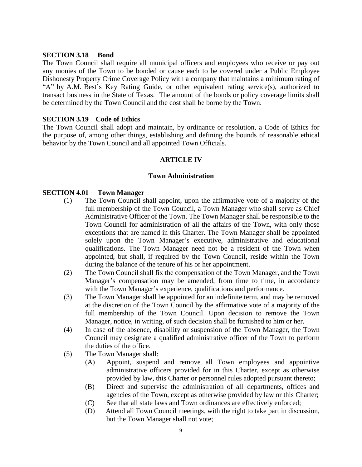### **SECTION 3.18 Bond**

The Town Council shall require all municipal officers and employees who receive or pay out any monies of the Town to be bonded or cause each to be covered under a Public Employee Dishonesty Property Crime Coverage Policy with a company that maintains a minimum rating of "A" by A.M. Best's Key Rating Guide, or other equivalent rating service(s), authorized to transact business in the State of Texas. The amount of the bonds or policy coverage limits shall be determined by the Town Council and the cost shall be borne by the Town.

### **SECTION 3.19 Code of Ethics**

The Town Council shall adopt and maintain, by ordinance or resolution, a Code of Ethics for the purpose of, among other things, establishing and defining the bounds of reasonable ethical behavior by the Town Council and all appointed Town Officials.

### **ARTICLE IV**

### **Town Administration**

### **SECTION 4.01 Town Manager**

- (1) The Town Council shall appoint, upon the affirmative vote of a majority of the full membership of the Town Council, a Town Manager who shall serve as Chief Administrative Officer of the Town. The Town Manager shall be responsible to the Town Council for administration of all the affairs of the Town, with only those exceptions that are named in this Charter. The Town Manager shall be appointed solely upon the Town Manager's executive, administrative and educational qualifications. The Town Manager need not be a resident of the Town when appointed, but shall, if required by the Town Council, reside within the Town during the balance of the tenure of his or her appointment.
- (2) The Town Council shall fix the compensation of the Town Manager, and the Town Manager's compensation may be amended, from time to time, in accordance with the Town Manager's experience, qualifications and performance.
- (3) The Town Manager shall be appointed for an indefinite term, and may be removed at the discretion of the Town Council by the affirmative vote of a majority of the full membership of the Town Council. Upon decision to remove the Town Manager, notice, in writing, of such decision shall be furnished to him or her.
- (4) In case of the absence, disability or suspension of the Town Manager, the Town Council may designate a qualified administrative officer of the Town to perform the duties of the office.
- (5) The Town Manager shall:
	- (A) Appoint, suspend and remove all Town employees and appointive administrative officers provided for in this Charter, except as otherwise provided by law, this Charter or personnel rules adopted pursuant thereto;
	- (B) Direct and supervise the administration of all departments, offices and agencies of the Town, except as otherwise provided by law or this Charter;
	- (C) See that all state laws and Town ordinances are effectively enforced;
	- (D) Attend all Town Council meetings, with the right to take part in discussion, but the Town Manager shall not vote;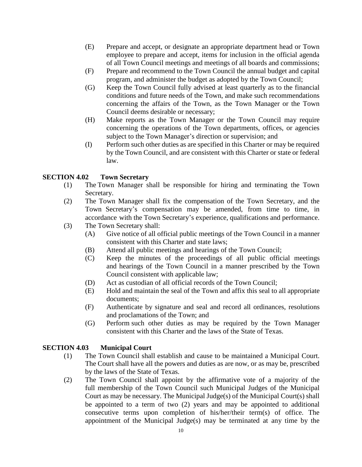- (E) Prepare and accept, or designate an appropriate department head or Town employee to prepare and accept, items for inclusion in the official agenda of all Town Council meetings and meetings of all boards and commissions;
- (F) Prepare and recommend to the Town Council the annual budget and capital program, and administer the budget as adopted by the Town Council;
- (G) Keep the Town Council fully advised at least quarterly as to the financial conditions and future needs of the Town, and make such recommendations concerning the affairs of the Town, as the Town Manager or the Town Council deems desirable or necessary;
- (H) Make reports as the Town Manager or the Town Council may require concerning the operations of the Town departments, offices, or agencies subject to the Town Manager's direction or supervision; and
- (I) Perform such other duties as are specified in this Charter or may be required by the Town Council, and are consistent with this Charter or state or federal law.

### **SECTION 4.02 Town Secretary**

- (1) The Town Manager shall be responsible for hiring and terminating the Town Secretary.
- (2) The Town Manager shall fix the compensation of the Town Secretary, and the Town Secretary's compensation may be amended, from time to time, in accordance with the Town Secretary's experience, qualifications and performance.
- (3) The Town Secretary shall:
	- (A) Give notice of all official public meetings of the Town Council in a manner consistent with this Charter and state laws;
	- (B) Attend all public meetings and hearings of the Town Council;
	- (C) Keep the minutes of the proceedings of all public official meetings and hearings of the Town Council in a manner prescribed by the Town Council consistent with applicable law;
	- (D) Act as custodian of all official records of the Town Council;
	- (E) Hold and maintain the seal of the Town and affix this seal to all appropriate documents;
	- (F) Authenticate by signature and seal and record all ordinances, resolutions and proclamations of the Town; and
	- (G) Perform such other duties as may be required by the Town Manager consistent with this Charter and the laws of the State of Texas.

### **SECTION 4.03 Municipal Court**

- (1) The Town Council shall establish and cause to be maintained a Municipal Court. The Court shall have all the powers and duties as are now, or as may be, prescribed by the laws of the State of Texas.
- (2) The Town Council shall appoint by the affirmative vote of a majority of the full membership of the Town Council such Municipal Judges of the Municipal Court as may be necessary. The Municipal Judge(s) of the Municipal Court(s) shall be appointed to a term of two (2) years and may be appointed to additional consecutive terms upon completion of his/her/their term(s) of office. The appointment of the Municipal Judge(s) may be terminated at any time by the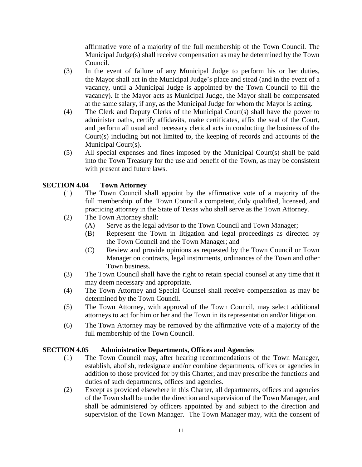affirmative vote of a majority of the full membership of the Town Council. The Municipal Judge(s) shall receive compensation as may be determined by the Town Council.

- (3) In the event of failure of any Municipal Judge to perform his or her duties, the Mayor shall act in the Municipal Judge's place and stead (and in the event of a vacancy, until a Municipal Judge is appointed by the Town Council to fill the vacancy). If the Mayor acts as Municipal Judge, the Mayor shall be compensated at the same salary, if any, as the Municipal Judge for whom the Mayor is acting.
- (4) The Clerk and Deputy Clerks of the Municipal Court(s) shall have the power to administer oaths, certify affidavits, make certificates, affix the seal of the Court, and perform all usual and necessary clerical acts in conducting the business of the Court(s) including but not limited to, the keeping of records and accounts of the Municipal Court(s).
- (5) All special expenses and fines imposed by the Municipal Court(s) shall be paid into the Town Treasury for the use and benefit of the Town, as may be consistent with present and future laws.

### **SECTION 4.04 Town Attorney**

- (1) The Town Council shall appoint by the affirmative vote of a majority of the full membership of the Town Council a competent, duly qualified, licensed, and practicing attorney in the State of Texas who shall serve as the Town Attorney.
- (2) The Town Attorney shall:
	- (A) Serve as the legal advisor to the Town Council and Town Manager;
	- (B) Represent the Town in litigation and legal proceedings as directed by the Town Council and the Town Manager; and
	- (C) Review and provide opinions as requested by the Town Council or Town Manager on contracts, legal instruments, ordinances of the Town and other Town business.
- (3) The Town Council shall have the right to retain special counsel at any time that it may deem necessary and appropriate.
- (4) The Town Attorney and Special Counsel shall receive compensation as may be determined by the Town Council.
- (5) The Town Attorney, with approval of the Town Council, may select additional attorneys to act for him or her and the Town in its representation and/or litigation.
- (6) The Town Attorney may be removed by the affirmative vote of a majority of the full membership of the Town Council.

### **SECTION 4.05 Administrative Departments, Offices and Agencies**

- (1) The Town Council may, after hearing recommendations of the Town Manager, establish, abolish, redesignate and/or combine departments, offices or agencies in addition to those provided for by this Charter, and may prescribe the functions and duties of such departments, offices and agencies.
- (2) Except as provided elsewhere in this Charter, all departments, offices and agencies of the Town shall be under the direction and supervision of the Town Manager, and shall be administered by officers appointed by and subject to the direction and supervision of the Town Manager. The Town Manager may, with the consent of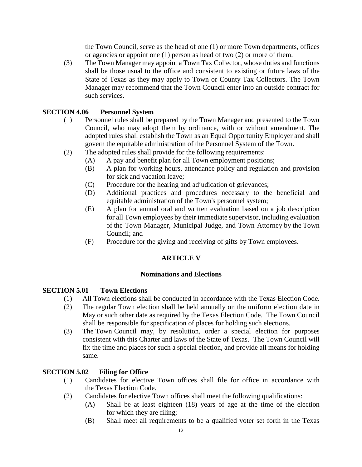the Town Council, serve as the head of one (1) or more Town departments, offices or agencies or appoint one (1) person as head of two (2) or more of them.

(3) The Town Manager may appoint a Town Tax Collector, whose duties and functions shall be those usual to the office and consistent to existing or future laws of the State of Texas as they may apply to Town or County Tax Collectors. The Town Manager may recommend that the Town Council enter into an outside contract for such services.

### **SECTION 4.06 Personnel System**

- (1) Personnel rules shall be prepared by the Town Manager and presented to the Town Council, who may adopt them by ordinance, with or without amendment. The adopted rules shall establish the Town as an Equal Opportunity Employer and shall govern the equitable administration of the Personnel System of the Town.
- (2) The adopted rules shall provide for the following requirements:
	- (A) A pay and benefit plan for all Town employment positions;
	- (B) A plan for working hours, attendance policy and regulation and provision for sick and vacation leave;
	- (C) Procedure for the hearing and adjudication of grievances;
	- (D) Additional practices and procedures necessary to the beneficial and equitable administration of the Town's personnel system;
	- (E) A plan for annual oral and written evaluation based on a job description for all Town employees by their immediate supervisor, including evaluation of the Town Manager, Municipal Judge, and Town Attorney by the Town Council; and
	- (F) Procedure for the giving and receiving of gifts by Town employees.

### **ARTICLE V**

### **Nominations and Elections**

### **SECTION 5.01 Town Elections**

- (1) All Town elections shall be conducted in accordance with the Texas Election Code.
- (2) The regular Town election shall be held annually on the uniform election date in May or such other date as required by the Texas Election Code. The Town Council shall be responsible for specification of places for holding such elections.
- (3) The Town Council may, by resolution, order a special election for purposes consistent with this Charter and laws of the State of Texas. The Town Council will fix the time and places for such a special election, and provide all means for holding same.

### **SECTION 5.02 Filing for Office**

- (1) Candidates for elective Town offices shall file for office in accordance with the Texas Election Code.
- (2) Candidates for elective Town offices shall meet the following qualifications:
	- (A) Shall be at least eighteen (18) years of age at the time of the election for which they are filing;
	- (B) Shall meet all requirements to be a qualified voter set forth in the Texas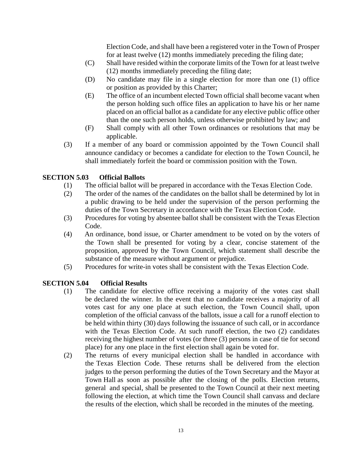Election Code, and shall have been a registered voter in the Town of Prosper for at least twelve (12) months immediately preceding the filing date;

- (C) Shall have resided within the corporate limits of the Town for at least twelve (12) months immediately preceding the filing date;
- (D) No candidate may file in a single election for more than one (1) office or position as provided by this Charter;
- (E) The office of an incumbent elected Town official shall become vacant when the person holding such office files an application to have his or her name placed on an official ballot as a candidate for any elective public office other than the one such person holds, unless otherwise prohibited by law; and
- (F) Shall comply with all other Town ordinances or resolutions that may be applicable.
- (3) If a member of any board or commission appointed by the Town Council shall announce candidacy or becomes a candidate for election to the Town Council, he shall immediately forfeit the board or commission position with the Town.

### **SECTION 5.03 Official Ballots**

- (1) The official ballot will be prepared in accordance with the Texas Election Code.
- (2) The order of the names of the candidates on the ballot shall be determined by lot in a public drawing to be held under the supervision of the person performing the duties of the Town Secretary in accordance with the Texas Election Code.
- (3) Procedures for voting by absentee ballot shall be consistent with the Texas Election Code.
- (4) An ordinance, bond issue, or Charter amendment to be voted on by the voters of the Town shall be presented for voting by a clear, concise statement of the proposition, approved by the Town Council, which statement shall describe the substance of the measure without argument or prejudice.
- (5) Procedures for write-in votes shall be consistent with the Texas Election Code.

### **SECTION 5.04 Official Results**

- (1) The candidate for elective office receiving a majority of the votes cast shall be declared the winner. In the event that no candidate receives a majority of all votes cast for any one place at such election, the Town Council shall, upon completion of the official canvass of the ballots, issue a call for a runoff election to be held within thirty (30) days following the issuance of such call, or in accordance with the Texas Election Code. At such runoff election, the two (2) candidates receiving the highest number of votes (or three (3) persons in case of tie for second place) for any one place in the first election shall again be voted for.
- (2) The returns of every municipal election shall be handled in accordance with the Texas Election Code. These returns shall be delivered from the election judges to the person performing the duties of the Town Secretary and the Mayor at Town Hall as soon as possible after the closing of the polls. Election returns, general and special, shall be presented to the Town Council at their next meeting following the election, at which time the Town Council shall canvass and declare the results of the election, which shall be recorded in the minutes of the meeting.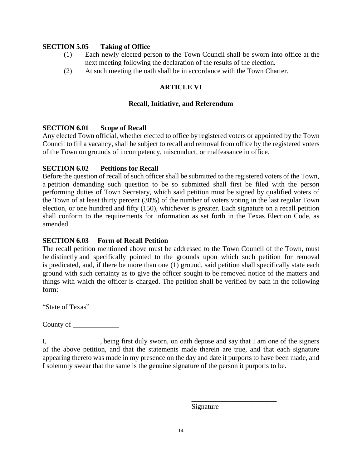### **SECTION 5.05 Taking of Office**

- (1) Each newly elected person to the Town Council shall be sworn into office at the next meeting following the declaration of the results of the election.
- (2) At such meeting the oath shall be in accordance with the Town Charter.

### **ARTICLE VI**

### **Recall, Initiative, and Referendum**

### **SECTION 6.01 Scope of Recall**

Any elected Town official, whether elected to office by registered voters or appointed by the Town Council to fill a vacancy, shall be subject to recall and removal from office by the registered voters of the Town on grounds of incompetency, misconduct, or malfeasance in office.

### **SECTION 6.02 Petitions for Recall**

Before the question of recall of such officer shall be submitted to the registered voters of the Town, a petition demanding such question to be so submitted shall first be filed with the person performing duties of Town Secretary, which said petition must be signed by qualified voters of the Town of at least thirty percent (30%) of the number of voters voting in the last regular Town election, or one hundred and fifty (150), whichever is greater. Each signature on a recall petition shall conform to the requirements for information as set forth in the Texas Election Code, as amended.

### **SECTION 6.03 Form of Recall Petition**

The recall petition mentioned above must be addressed to the Town Council of the Town, must be distinctly and specifically pointed to the grounds upon which such petition for removal is predicated, and, if there be more than one (1) ground, said petition shall specifically state each ground with such certainty as to give the officer sought to be removed notice of the matters and things with which the officer is charged. The petition shall be verified by oath in the following form:

"State of Texas"

County of

I, being first duly sworn, on oath depose and say that I am one of the signers of the above petition, and that the statements made therein are true, and that each signature appearing thereto was made in my presence on the day and date it purports to have been made, and I solemnly swear that the same is the genuine signature of the person it purports to be.

Signature

\_\_\_\_\_\_\_\_\_\_\_\_\_\_\_\_\_\_\_\_\_\_\_\_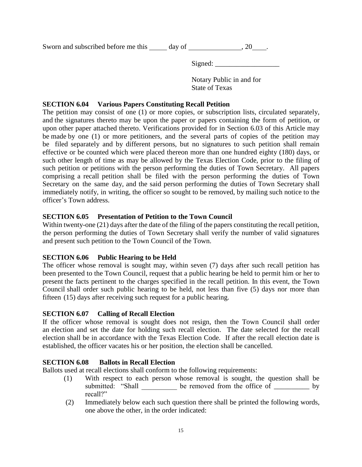Sworn and subscribed before me this  $\_\_\_$  day of  $\_\_\_\_\_\_$ , 20  $\_\_\_\_\_\$ .

Signed: \_\_\_\_\_\_\_\_\_\_\_\_\_\_\_\_\_\_

Notary Public in and for State of Texas

### **SECTION 6.04 Various Papers Constituting Recall Petition**

The petition may consist of one (1) or more copies, or subscription lists, circulated separately, and the signatures thereto may be upon the paper or papers containing the form of petition, or upon other paper attached thereto. Verifications provided for in Section 6.03 of this Article may be made by one (1) or more petitioners, and the several parts of copies of the petition may be filed separately and by different persons, but no signatures to such petition shall remain effective or be counted which were placed thereon more than one hundred eighty (180) days, or such other length of time as may be allowed by the Texas Election Code, prior to the filing of such petition or petitions with the person performing the duties of Town Secretary. All papers comprising a recall petition shall be filed with the person performing the duties of Town Secretary on the same day, and the said person performing the duties of Town Secretary shall immediately notify, in writing, the officer so sought to be removed, by mailing such notice to the officer's Town address.

### **SECTION 6.05 Presentation of Petition to the Town Council**

Within twenty-one (21) days after the date of the filing of the papers constituting the recall petition, the person performing the duties of Town Secretary shall verify the number of valid signatures and present such petition to the Town Council of the Town.

### **SECTION 6.06 Public Hearing to be Held**

The officer whose removal is sought may, within seven (7) days after such recall petition has been presented to the Town Council, request that a public hearing be held to permit him or her to present the facts pertinent to the charges specified in the recall petition. In this event, the Town Council shall order such public hearing to be held, not less than five (5) days nor more than fifteen (15) days after receiving such request for a public hearing.

### **SECTION 6.07 Calling of Recall Election**

If the officer whose removal is sought does not resign, then the Town Council shall order an election and set the date for holding such recall election. The date selected for the recall election shall be in accordance with the Texas Election Code. If after the recall election date is established, the officer vacates his or her position, the election shall be cancelled.

### **SECTION 6.08 Ballots in Recall Election**

Ballots used at recall elections shall conform to the following requirements:

- (1) With respect to each person whose removal is sought, the question shall be submitted: "Shall be removed from the office of \_\_\_\_\_\_ by recall?"
- (2) Immediately below each such question there shall be printed the following words, one above the other, in the order indicated: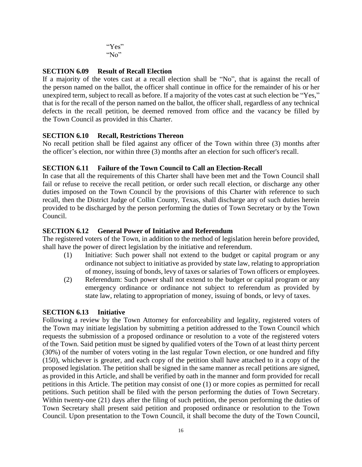"Yes" "No"

### **SECTION 6.09 Result of Recall Election**

If a majority of the votes cast at a recall election shall be "No", that is against the recall of the person named on the ballot, the officer shall continue in office for the remainder of his or her unexpired term, subject to recall as before. If a majority of the votes cast at such election be "Yes," that is for the recall of the person named on the ballot, the officer shall, regardless of any technical defects in the recall petition, be deemed removed from office and the vacancy be filled by the Town Council as provided in this Charter.

### **SECTION 6.10 Recall, Restrictions Thereon**

No recall petition shall be filed against any officer of the Town within three (3) months after the officer's election, nor within three (3) months after an election for such officer's recall.

### **SECTION 6.11 Failure of the Town Council to Call an Election-Recall**

In case that all the requirements of this Charter shall have been met and the Town Council shall fail or refuse to receive the recall petition, or order such recall election, or discharge any other duties imposed on the Town Council by the provisions of this Charter with reference to such recall, then the District Judge of Collin County, Texas, shall discharge any of such duties herein provided to be discharged by the person performing the duties of Town Secretary or by the Town Council.

### **SECTION 6.12 General Power of Initiative and Referendum**

The registered voters of the Town, in addition to the method of legislation herein before provided, shall have the power of direct legislation by the initiative and referendum.

- (1) Initiative: Such power shall not extend to the budget or capital program or any ordinance not subject to initiative as provided by state law, relating to appropriation of money, issuing of bonds, levy of taxes or salaries of Town officers or employees.
- (2) Referendum: Such power shall not extend to the budget or capital program or any emergency ordinance or ordinance not subject to referendum as provided by state law, relating to appropriation of money, issuing of bonds, or levy of taxes.

### **SECTION 6.13 Initiative**

Following a review by the Town Attorney for enforceability and legality, registered voters of the Town may initiate legislation by submitting a petition addressed to the Town Council which requests the submission of a proposed ordinance or resolution to a vote of the registered voters of the Town. Said petition must be signed by qualified voters of the Town of at least thirty percent (30%) of the number of voters voting in the last regular Town election, or one hundred and fifty (150), whichever is greater, and each copy of the petition shall have attached to it a copy of the proposed legislation. The petition shall be signed in the same manner as recall petitions are signed, as provided in this Article, and shall be verified by oath in the manner and form provided for recall petitions in this Article. The petition may consist of one (1) or more copies as permitted for recall petitions. Such petition shall be filed with the person performing the duties of Town Secretary. Within twenty-one (21) days after the filing of such petition, the person performing the duties of Town Secretary shall present said petition and proposed ordinance or resolution to the Town Council. Upon presentation to the Town Council, it shall become the duty of the Town Council,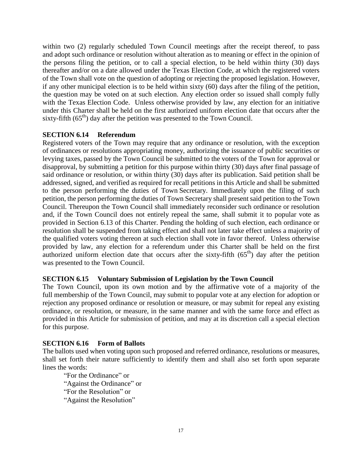within two (2) regularly scheduled Town Council meetings after the receipt thereof, to pass and adopt such ordinance or resolution without alteration as to meaning or effect in the opinion of the persons filing the petition, or to call a special election, to be held within thirty (30) days thereafter and/or on a date allowed under the Texas Election Code, at which the registered voters of the Town shall vote on the question of adopting or rejecting the proposed legislation. However, if any other municipal election is to be held within sixty (60) days after the filing of the petition, the question may be voted on at such election. Any election order so issued shall comply fully with the Texas Election Code. Unless otherwise provided by law, any election for an initiative under this Charter shall be held on the first authorized uniform election date that occurs after the sixty-fifth  $(65<sup>th</sup>)$  day after the petition was presented to the Town Council.

### **SECTION 6.14 Referendum**

Registered voters of the Town may require that any ordinance or resolution, with the exception of ordinances or resolutions appropriating money, authorizing the issuance of public securities or levying taxes, passed by the Town Council be submitted to the voters of the Town for approval or disapproval, by submitting a petition for this purpose within thirty (30) days after final passage of said ordinance or resolution, or within thirty (30) days after its publication. Said petition shall be addressed, signed, and verified as required for recall petitions in this Article and shall be submitted to the person performing the duties of Town Secretary. Immediately upon the filing of such petition, the person performing the duties of Town Secretary shall present said petition to the Town Council. Thereupon the Town Council shall immediately reconsider such ordinance or resolution and, if the Town Council does not entirely repeal the same, shall submit it to popular vote as provided in Section 6.13 of this Charter. Pending the holding of such election, each ordinance or resolution shall be suspended from taking effect and shall not later take effect unless a majority of the qualified voters voting thereon at such election shall vote in favor thereof. Unless otherwise provided by law, any election for a referendum under this Charter shall be held on the first authorized uniform election date that occurs after the sixty-fifth  $(65<sup>th</sup>)$  day after the petition was presented to the Town Council.

### **SECTION 6.15 Voluntary Submission of Legislation by the Town Council**

The Town Council, upon its own motion and by the affirmative vote of a majority of the full membership of the Town Council, may submit to popular vote at any election for adoption or rejection any proposed ordinance or resolution or measure, or may submit for repeal any existing ordinance, or resolution, or measure, in the same manner and with the same force and effect as provided in this Article for submission of petition, and may at its discretion call a special election for this purpose.

### **SECTION 6.16 Form of Ballots**

The ballots used when voting upon such proposed and referred ordinance, resolutions or measures, shall set forth their nature sufficiently to identify them and shall also set forth upon separate lines the words:

"For the Ordinance" or "Against the Ordinance" or "For the Resolution" or "Against the Resolution"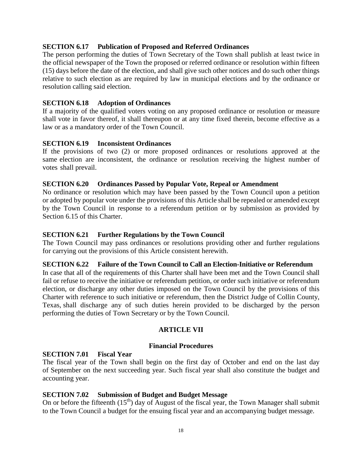### **SECTION 6.17 Publication of Proposed and Referred Ordinances**

The person performing the duties of Town Secretary of the Town shall publish at least twice in the official newspaper of the Town the proposed or referred ordinance or resolution within fifteen (15) days before the date of the election, and shall give such other notices and do such other things relative to such election as are required by law in municipal elections and by the ordinance or resolution calling said election.

### **SECTION 6.18 Adoption of Ordinances**

If a majority of the qualified voters voting on any proposed ordinance or resolution or measure shall vote in favor thereof, it shall thereupon or at any time fixed therein, become effective as a law or as a mandatory order of the Town Council.

### **SECTION 6.19 Inconsistent Ordinances**

If the provisions of two (2) or more proposed ordinances or resolutions approved at the same election are inconsistent, the ordinance or resolution receiving the highest number of votes shall prevail.

### **SECTION 6.20 Ordinances Passed by Popular Vote, Repeal or Amendment**

No ordinance or resolution which may have been passed by the Town Council upon a petition or adopted by popular vote under the provisions of this Article shall be repealed or amended except by the Town Council in response to a referendum petition or by submission as provided by Section 6.15 of this Charter.

### **SECTION 6.21 Further Regulations by the Town Council**

The Town Council may pass ordinances or resolutions providing other and further regulations for carrying out the provisions of this Article consistent herewith.

### **SECTION 6.22 Failure of the Town Council to Call an Election-Initiative or Referendum**

In case that all of the requirements of this Charter shall have been met and the Town Council shall fail or refuse to receive the initiative or referendum petition, or order such initiative or referendum election, or discharge any other duties imposed on the Town Council by the provisions of this Charter with reference to such initiative or referendum, then the District Judge of Collin County, Texas, shall discharge any of such duties herein provided to be discharged by the person performing the duties of Town Secretary or by the Town Council.

### **ARTICLE VII**

### **Financial Procedures**

### **SECTION 7.01 Fiscal Year**

The fiscal year of the Town shall begin on the first day of October and end on the last day of September on the next succeeding year. Such fiscal year shall also constitute the budget and accounting year.

### **SECTION 7.02 Submission of Budget and Budget Message**

On or before the fifteenth  $(15<sup>th</sup>)$  day of August of the fiscal year, the Town Manager shall submit to the Town Council a budget for the ensuing fiscal year and an accompanying budget message.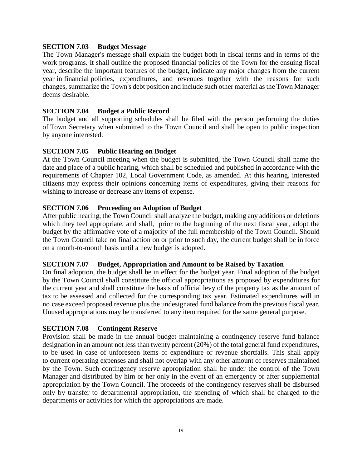### **SECTION 7.03 Budget Message**

The Town Manager's message shall explain the budget both in fiscal terms and in terms of the work programs. It shall outline the proposed financial policies of the Town for the ensuing fiscal year, describe the important features of the budget, indicate any major changes from the current year in financial policies, expenditures, and revenues together with the reasons for such changes, summarize the Town's debt position and include such other material asthe Town Manager deems desirable.

### **SECTION 7.04 Budget a Public Record**

The budget and all supporting schedules shall be filed with the person performing the duties of Town Secretary when submitted to the Town Council and shall be open to public inspection by anyone interested.

### **SECTION 7.05 Public Hearing on Budget**

At the Town Council meeting when the budget is submitted, the Town Council shall name the date and place of a public hearing, which shall be scheduled and published in accordance with the requirements of Chapter 102, Local Government Code, as amended. At this hearing, interested citizens may express their opinions concerning items of expenditures, giving their reasons for wishing to increase or decrease any items of expense.

### **SECTION 7.06 Proceeding on Adoption of Budget**

After public hearing, the Town Council shall analyze the budget, making any additions or deletions which they feel appropriate, and shall, prior to the beginning of the next fiscal year, adopt the budget by the affirmative vote of a majority of the full membership of the Town Council. Should the Town Council take no final action on or prior to such day, the current budget shall be in force on a month-to-month basis until a new budget is adopted.

### **SECTION 7.07 Budget, Appropriation and Amount to be Raised by Taxation**

On final adoption, the budget shall be in effect for the budget year. Final adoption of the budget by the Town Council shall constitute the official appropriations as proposed by expenditures for the current year and shall constitute the basis of official levy of the property tax as the amount of tax to be assessed and collected for the corresponding tax year. Estimated expenditures will in no case exceed proposed revenue plus the undesignated fund balance from the previous fiscal year. Unused appropriations may be transferred to any item required for the same general purpose.

### **SECTION 7.08 Contingent Reserve**

Provision shall be made in the annual budget maintaining a contingency reserve fund balance designation in an amount not less than twenty percent (20%) of the total general fund expenditures, to be used in case of unforeseen items of expenditure or revenue shortfalls. This shall apply to current operating expenses and shall not overlap with any other amount of reserves maintained by the Town. Such contingency reserve appropriation shall be under the control of the Town Manager and distributed by him or her only in the event of an emergency or after supplemental appropriation by the Town Council. The proceeds of the contingency reserves shall be disbursed only by transfer to departmental appropriation, the spending of which shall be charged to the departments or activities for which the appropriations are made.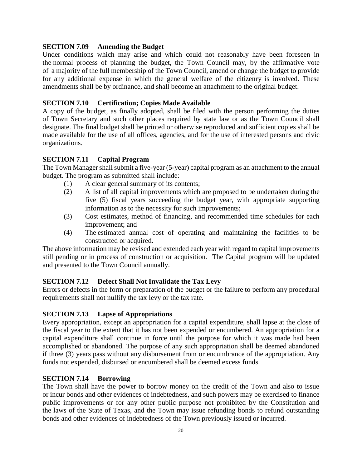### **SECTION 7.09 Amending the Budget**

Under conditions which may arise and which could not reasonably have been foreseen in the normal process of planning the budget, the Town Council may, by the affirmative vote of a majority of the full membership of the Town Council, amend or change the budget to provide for any additional expense in which the general welfare of the citizenry is involved. These amendments shall be by ordinance, and shall become an attachment to the original budget.

### **SECTION 7.10 Certification; Copies Made Available**

A copy of the budget, as finally adopted, shall be filed with the person performing the duties of Town Secretary and such other places required by state law or as the Town Council shall designate. The final budget shall be printed or otherwise reproduced and sufficient copies shall be made available for the use of all offices, agencies, and for the use of interested persons and civic organizations.

### **SECTION 7.11 Capital Program**

The Town Manager shall submit a five-year (5-year) capital program as an attachment to the annual budget. The program as submitted shall include:

- (1) A clear general summary of its contents;
- (2) A list of all capital improvements which are proposed to be undertaken during the five (5) fiscal years succeeding the budget year, with appropriate supporting information as to the necessity for such improvements;
- (3) Cost estimates, method of financing, and recommended time schedules for each improvement; and
- (4) The estimated annual cost of operating and maintaining the facilities to be constructed or acquired.

The above information may be revised and extended each year with regard to capital improvements still pending or in process of construction or acquisition. The Capital program will be updated and presented to the Town Council annually.

### **SECTION 7.12 Defect Shall Not Invalidate the Tax Levy**

Errors or defects in the form or preparation of the budget or the failure to perform any procedural requirements shall not nullify the tax levy or the tax rate.

### **SECTION 7.13 Lapse of Appropriations**

Every appropriation, except an appropriation for a capital expenditure, shall lapse at the close of the fiscal year to the extent that it has not been expended or encumbered. An appropriation for a capital expenditure shall continue in force until the purpose for which it was made had been accomplished or abandoned. The purpose of any such appropriation shall be deemed abandoned if three (3) years pass without any disbursement from or encumbrance of the appropriation. Any funds not expended, disbursed or encumbered shall be deemed excess funds.

### **SECTION 7.14 Borrowing**

The Town shall have the power to borrow money on the credit of the Town and also to issue or incur bonds and other evidences of indebtedness, and such powers may be exercised to finance public improvements or for any other public purpose not prohibited by the Constitution and the laws of the State of Texas, and the Town may issue refunding bonds to refund outstanding bonds and other evidences of indebtedness of the Town previously issued or incurred.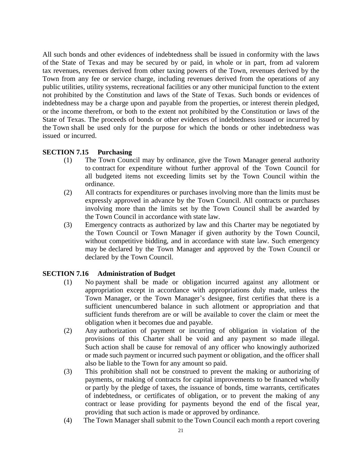All such bonds and other evidences of indebtedness shall be issued in conformity with the laws of the State of Texas and may be secured by or paid, in whole or in part, from ad valorem tax revenues, revenues derived from other taxing powers of the Town, revenues derived by the Town from any fee or service charge, including revenues derived from the operations of any public utilities, utility systems, recreational facilities or any other municipal function to the extent not prohibited by the Constitution and laws of the State of Texas. Such bonds or evidences of indebtedness may be a charge upon and payable from the properties, or interest therein pledged, or the income therefrom, or both to the extent not prohibited by the Constitution or laws of the State of Texas. The proceeds of bonds or other evidences of indebtedness issued or incurred by the Town shall be used only for the purpose for which the bonds or other indebtedness was issued or incurred.

### **SECTION 7.15 Purchasing**

- (1) The Town Council may by ordinance, give the Town Manager general authority to contract for expenditure without further approval of the Town Council for all budgeted items not exceeding limits set by the Town Council within the ordinance.
- (2) All contracts for expenditures or purchases involving more than the limits must be expressly approved in advance by the Town Council. All contracts or purchases involving more than the limits set by the Town Council shall be awarded by the Town Council in accordance with state law.
- (3) Emergency contracts as authorized by law and this Charter may be negotiated by the Town Council or Town Manager if given authority by the Town Council, without competitive bidding, and in accordance with state law. Such emergency may be declared by the Town Manager and approved by the Town Council or declared by the Town Council.

### **SECTION 7.16 Administration of Budget**

- (1) No payment shall be made or obligation incurred against any allotment or appropriation except in accordance with appropriations duly made, unless the Town Manager, or the Town Manager's designee, first certifies that there is a sufficient unencumbered balance in such allotment or appropriation and that sufficient funds therefrom are or will be available to cover the claim or meet the obligation when it becomes due and payable.
- (2) Any authorization of payment or incurring of obligation in violation of the provisions of this Charter shall be void and any payment so made illegal. Such action shall be cause for removal of any officer who knowingly authorized or made such payment or incurred such payment or obligation, and the officer shall also be liable to the Town for any amount so paid.
- (3) This prohibition shall not be construed to prevent the making or authorizing of payments, or making of contracts for capital improvements to be financed wholly or partly by the pledge of taxes, the issuance of bonds, time warrants, certificates of indebtedness, or certificates of obligation, or to prevent the making of any contract or lease providing for payments beyond the end of the fiscal year, providing that such action is made or approved by ordinance.
- (4) The Town Manager shall submit to the Town Council each month a report covering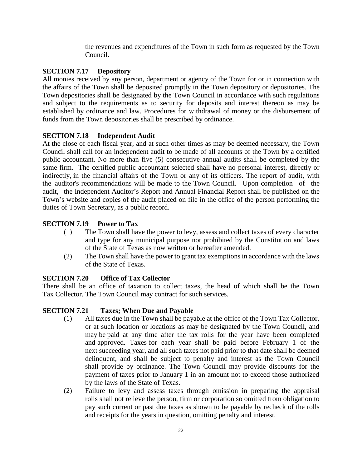the revenues and expenditures of the Town in such form as requested by the Town Council.

### **SECTION 7.17 Depository**

All monies received by any person, department or agency of the Town for or in connection with the affairs of the Town shall be deposited promptly in the Town depository or depositories. The Town depositories shall be designated by the Town Council in accordance with such regulations and subject to the requirements as to security for deposits and interest thereon as may be established by ordinance and law. Procedures for withdrawal of money or the disbursement of funds from the Town depositories shall be prescribed by ordinance.

### **SECTION 7.18 Independent Audit**

At the close of each fiscal year, and at such other times as may be deemed necessary, the Town Council shall call for an independent audit to be made of all accounts of the Town by a certified public accountant. No more than five (5) consecutive annual audits shall be completed by the same firm. The certified public accountant selected shall have no personal interest, directly or indirectly, in the financial affairs of the Town or any of its officers. The report of audit, with the auditor's recommendations will be made to the Town Council. Upon completion of the audit, the Independent Auditor's Report and Annual Financial Report shall be published on the Town's website and copies of the audit placed on file in the office of the person performing the duties of Town Secretary, as a public record.

### **SECTION 7.19 Power to Tax**

- (1) The Town shall have the power to levy, assess and collect taxes of every character and type for any municipal purpose not prohibited by the Constitution and laws of the State of Texas as now written or hereafter amended.
- (2) The Town shall have the power to grant tax exemptions in accordance with the laws of the State of Texas.

### **SECTION 7.20 Office of Tax Collector**

There shall be an office of taxation to collect taxes, the head of which shall be the Town Tax Collector. The Town Council may contract for such services.

### **SECTION 7.21 Taxes; When Due and Payable**

- (1) All taxes due in the Town shall be payable at the office of the Town Tax Collector, or at such location or locations as may be designated by the Town Council, and may be paid at any time after the tax rolls for the year have been completed and approved. Taxes for each year shall be paid before February 1 of the next succeeding year, and all such taxes not paid prior to that date shall be deemed delinquent, and shall be subject to penalty and interest as the Town Council shall provide by ordinance. The Town Council may provide discounts for the payment of taxes prior to January 1 in an amount not to exceed those authorized by the laws of the State of Texas.
- (2) Failure to levy and assess taxes through omission in preparing the appraisal rolls shall not relieve the person, firm or corporation so omitted from obligation to pay such current or past due taxes as shown to be payable by recheck of the rolls and receipts for the years in question, omitting penalty and interest.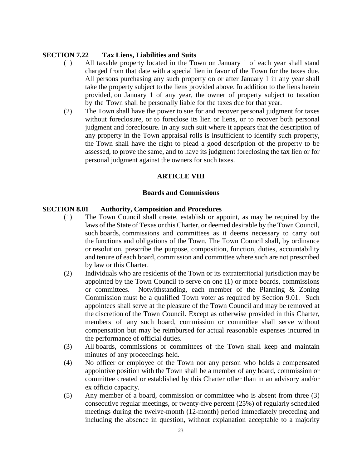### **SECTION 7.22 Tax Liens, Liabilities and Suits**

- (1) All taxable property located in the Town on January 1 of each year shall stand charged from that date with a special lien in favor of the Town for the taxes due. All persons purchasing any such property on or after January 1 in any year shall take the property subject to the liens provided above. In addition to the liens herein provided, on January 1 of any year, the owner of property subject to taxation by the Town shall be personally liable for the taxes due for that year.
- (2) The Town shall have the power to sue for and recover personal judgment for taxes without foreclosure, or to foreclose its lien or liens, or to recover both personal judgment and foreclosure. In any such suit where it appears that the description of any property in the Town appraisal rolls is insufficient to identify such property, the Town shall have the right to plead a good description of the property to be assessed, to prove the same, and to have its judgment foreclosing the tax lien or for personal judgment against the owners for such taxes.

### **ARTICLE VIII**

### **Boards and Commissions**

### **SECTION 8.01 Authority, Composition and Procedures**

- (1) The Town Council shall create, establish or appoint, as may be required by the laws of the State of Texas or this Charter, or deemed desirable by the Town Council, such boards, commissions and committees as it deems necessary to carry out the functions and obligations of the Town. The Town Council shall, by ordinance or resolution, prescribe the purpose, composition, function, duties, accountability and tenure of each board, commission and committee where such are not prescribed by law or this Charter.
- (2) Individuals who are residents of the Town or its extraterritorial jurisdiction may be appointed by the Town Council to serve on one (1) or more boards, commissions or committees. Notwithstanding, each member of the Planning & Zoning Commission must be a qualified Town voter as required by Section 9.01. Such appointees shall serve at the pleasure of the Town Council and may be removed at the discretion of the Town Council. Except as otherwise provided in this Charter, members of any such board, commission or committee shall serve without compensation but may be reimbursed for actual reasonable expenses incurred in the performance of official duties.
- (3) All boards, commissions or committees of the Town shall keep and maintain minutes of any proceedings held.
- (4) No officer or employee of the Town nor any person who holds a compensated appointive position with the Town shall be a member of any board, commission or committee created or established by this Charter other than in an advisory and/or ex officio capacity.
- (5) Any member of a board, commission or committee who is absent from three (3) consecutive regular meetings, or twenty-five percent (25%) of regularly scheduled meetings during the twelve-month (12-month) period immediately preceding and including the absence in question, without explanation acceptable to a majority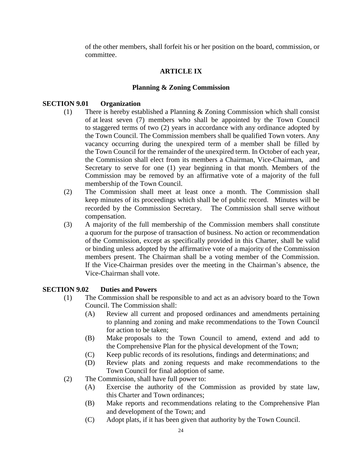of the other members, shall forfeit his or her position on the board, commission, or committee.

### **ARTICLE IX**

### **Planning & Zoning Commission**

### **SECTION 9.01 Organization**

- (1) There is hereby established a Planning & Zoning Commission which shall consist of at least seven (7) members who shall be appointed by the Town Council to staggered terms of two (2) years in accordance with any ordinance adopted by the Town Council. The Commission members shall be qualified Town voters. Any vacancy occurring during the unexpired term of a member shall be filled by the Town Council for the remainder of the unexpired term. In October of each year, the Commission shall elect from its members a Chairman, Vice-Chairman, and Secretary to serve for one (1) year beginning in that month. Members of the Commission may be removed by an affirmative vote of a majority of the full membership of the Town Council.
- (2) The Commission shall meet at least once a month. The Commission shall keep minutes of its proceedings which shall be of public record. Minutes will be recorded by the Commission Secretary. The Commission shall serve without compensation.
- (3) A majority of the full membership of the Commission members shall constitute a quorum for the purpose of transaction of business. No action or recommendation of the Commission, except as specifically provided in this Charter, shall be valid or binding unless adopted by the affirmative vote of a majority of the Commission members present. The Chairman shall be a voting member of the Commission. If the Vice-Chairman presides over the meeting in the Chairman's absence, the Vice-Chairman shall vote.

### **SECTION 9.02 Duties and Powers**

- (1) The Commission shall be responsible to and act as an advisory board to the Town Council. The Commission shall:
	- (A) Review all current and proposed ordinances and amendments pertaining to planning and zoning and make recommendations to the Town Council for action to be taken;
	- (B) Make proposals to the Town Council to amend, extend and add to the Comprehensive Plan for the physical development of the Town;
	- (C) Keep public records of its resolutions, findings and determinations; and
	- (D) Review plats and zoning requests and make recommendations to the Town Council for final adoption of same.
- (2) The Commission, shall have full power to:
	- (A) Exercise the authority of the Commission as provided by state law, this Charter and Town ordinances;
	- (B) Make reports and recommendations relating to the Comprehensive Plan and development of the Town; and
	- (C) Adopt plats, if it has been given that authority by the Town Council.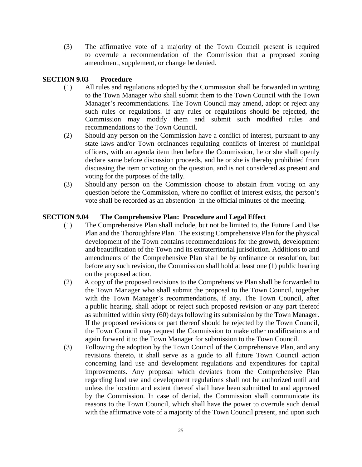(3) The affirmative vote of a majority of the Town Council present is required to overrule a recommendation of the Commission that a proposed zoning amendment, supplement, or change be denied.

### **SECTION 9.03 Procedure**

- (1) All rules and regulations adopted by the Commission shall be forwarded in writing to the Town Manager who shall submit them to the Town Council with the Town Manager's recommendations. The Town Council may amend, adopt or reject any such rules or regulations. If any rules or regulations should be rejected, the Commission may modify them and submit such modified rules and recommendations to the Town Council.
- (2) Should any person on the Commission have a conflict of interest, pursuant to any state laws and/or Town ordinances regulating conflicts of interest of municipal officers, with an agenda item then before the Commission, he or she shall openly declare same before discussion proceeds, and he or she is thereby prohibited from discussing the item or voting on the question, and is not considered as present and voting for the purposes of the tally.
- (3) Should any person on the Commission choose to abstain from voting on any question before the Commission, where no conflict of interest exists, the person's vote shall be recorded as an abstention in the official minutes of the meeting.

### **SECTION 9.04 The Comprehensive Plan: Procedure and Legal Effect**

- (1) The Comprehensive Plan shall include, but not be limited to, the Future Land Use Plan and the Thoroughfare Plan. The existing Comprehensive Plan for the physical development of the Town contains recommendations for the growth, development and beautification of the Town and its extraterritorial jurisdiction. Additions to and amendments of the Comprehensive Plan shall be by ordinance or resolution, but before any such revision, the Commission shall hold at least one (1) public hearing on the proposed action.
- (2) A copy of the proposed revisions to the Comprehensive Plan shall be forwarded to the Town Manager who shall submit the proposal to the Town Council, together with the Town Manager's recommendations, if any. The Town Council, after a public hearing, shall adopt or reject such proposed revision or any part thereof as submitted within sixty (60) days following its submission by the Town Manager. If the proposed revisions or part thereof should be rejected by the Town Council, the Town Council may request the Commission to make other modifications and again forward it to the Town Manager for submission to the Town Council.
- (3) Following the adoption by the Town Council of the Comprehensive Plan, and any revisions thereto, it shall serve as a guide to all future Town Council action concerning land use and development regulations and expenditures for capital improvements. Any proposal which deviates from the Comprehensive Plan regarding land use and development regulations shall not be authorized until and unless the location and extent thereof shall have been submitted to and approved by the Commission. In case of denial, the Commission shall communicate its reasons to the Town Council, which shall have the power to overrule such denial with the affirmative vote of a majority of the Town Council present, and upon such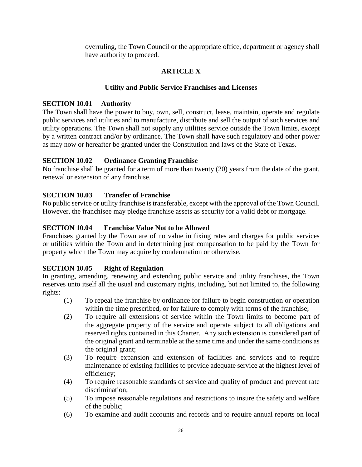overruling, the Town Council or the appropriate office, department or agency shall have authority to proceed.

### **ARTICLE X**

### **Utility and Public Service Franchises and Licenses**

### **SECTION 10.01 Authority**

The Town shall have the power to buy, own, sell, construct, lease, maintain, operate and regulate public services and utilities and to manufacture, distribute and sell the output of such services and utility operations. The Town shall not supply any utilities service outside the Town limits, except by a written contract and/or by ordinance. The Town shall have such regulatory and other power as may now or hereafter be granted under the Constitution and laws of the State of Texas.

### **SECTION 10.02 Ordinance Granting Franchise**

No franchise shall be granted for a term of more than twenty (20) years from the date of the grant, renewal or extension of any franchise.

### **SECTION 10.03 Transfer of Franchise**

No public service or utility franchise is transferable, except with the approval of the Town Council. However, the franchisee may pledge franchise assets as security for a valid debt or mortgage.

### **SECTION 10.04 Franchise Value Not to be Allowed**

Franchises granted by the Town are of no value in fixing rates and charges for public services or utilities within the Town and in determining just compensation to be paid by the Town for property which the Town may acquire by condemnation or otherwise.

### **SECTION 10.05 Right of Regulation**

In granting, amending, renewing and extending public service and utility franchises, the Town reserves unto itself all the usual and customary rights, including, but not limited to, the following rights:

- (1) To repeal the franchise by ordinance for failure to begin construction or operation within the time prescribed, or for failure to comply with terms of the franchise;
- (2) To require all extensions of service within the Town limits to become part of the aggregate property of the service and operate subject to all obligations and reserved rights contained in this Charter. Any such extension is considered part of the original grant and terminable at the same time and under the same conditions as the original grant;
- (3) To require expansion and extension of facilities and services and to require maintenance of existing facilities to provide adequate service at the highest level of efficiency;
- (4) To require reasonable standards of service and quality of product and prevent rate discrimination;
- (5) To impose reasonable regulations and restrictions to insure the safety and welfare of the public;
- (6) To examine and audit accounts and records and to require annual reports on local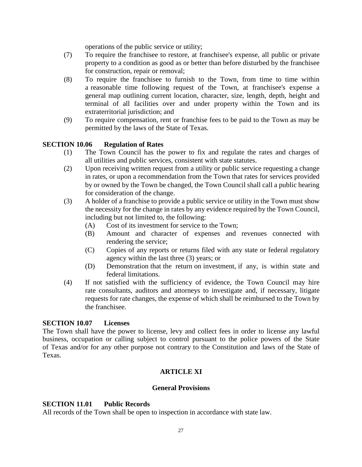operations of the public service or utility;

- (7) To require the franchisee to restore, at franchisee's expense, all public or private property to a condition as good as or better than before disturbed by the franchisee for construction, repair or removal;
- (8) To require the franchisee to furnish to the Town, from time to time within a reasonable time following request of the Town, at franchisee's expense a general map outlining current location, character, size, length, depth, height and terminal of all facilities over and under property within the Town and its extraterritorial jurisdiction; and
- (9) To require compensation, rent or franchise fees to be paid to the Town as may be permitted by the laws of the State of Texas.

### **SECTION 10.06 Regulation of Rates**

- (1) The Town Council has the power to fix and regulate the rates and charges of all utilities and public services, consistent with state statutes.
- (2) Upon receiving written request from a utility or public service requesting a change in rates, or upon a recommendation from the Town that rates for services provided by or owned by the Town be changed, the Town Council shall call a public hearing for consideration of the change.
- (3) A holder of a franchise to provide a public service or utility in the Town must show the necessity for the change in rates by any evidence required by the Town Council, including but not limited to, the following:
	- (A) Cost of its investment for service to the Town;
	- (B) Amount and character of expenses and revenues connected with rendering the service;
	- (C) Copies of any reports or returns filed with any state or federal regulatory agency within the last three (3) years; or
	- (D) Demonstration that the return on investment, if any, is within state and federal limitations.
- (4) If not satisfied with the sufficiency of evidence, the Town Council may hire rate consultants, auditors and attorneys to investigate and, if necessary, litigate requests for rate changes, the expense of which shall be reimbursed to the Town by the franchisee.

### **SECTION 10.07 Licenses**

The Town shall have the power to license, levy and collect fees in order to license any lawful business, occupation or calling subject to control pursuant to the police powers of the State of Texas and/or for any other purpose not contrary to the Constitution and laws of the State of Texas.

### **ARTICLE XI**

### **General Provisions**

### **SECTION 11.01 Public Records**

All records of the Town shall be open to inspection in accordance with state law.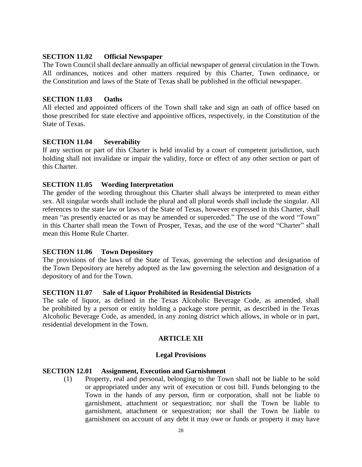### **SECTION 11.02 Official Newspaper**

The Town Council shall declare annually an official newspaper of general circulation in the Town. All ordinances, notices and other matters required by this Charter, Town ordinance, or the Constitution and laws of the State of Texas shall be published in the official newspaper.

### **SECTION 11.03 Oaths**

All elected and appointed officers of the Town shall take and sign an oath of office based on those prescribed for state elective and appointive offices, respectively, in the Constitution of the State of Texas.

### **SECTION 11.04 Severability**

If any section or part of this Charter is held invalid by a court of competent jurisdiction, such holding shall not invalidate or impair the validity, force or effect of any other section or part of this Charter.

### **SECTION 11.05 Wording Interpretation**

The gender of the wording throughout this Charter shall always be interpreted to mean either sex. All singular words shall include the plural and all plural words shall include the singular. All references to the state law or laws of the State of Texas, however expressed in this Charter, shall mean "as presently enacted or as may be amended or superceded." The use of the word "Town" in this Charter shall mean the Town of Prosper, Texas, and the use of the word "Charter" shall mean this Home Rule Charter.

### **SECTION 11.06 Town Depository**

The provisions of the laws of the State of Texas, governing the selection and designation of the Town Depository are hereby adopted as the law governing the selection and designation of a depository of and for the Town.

### **SECTION 11.07 Sale of Liquor Prohibited in Residential Districts**

The sale of liquor, as defined in the Texas Alcoholic Beverage Code, as amended, shall be prohibited by a person or entity holding a package store permit, as described in the Texas Alcoholic Beverage Code, as amended, in any zoning district which allows, in whole or in part, residential development in the Town.

### **ARTICLE XII**

### **Legal Provisions**

### **SECTION 12.01 Assignment, Execution and Garnishment**

(1) Property, real and personal, belonging to the Town shall not be liable to be sold or appropriated under any writ of execution or cost bill. Funds belonging to the Town in the hands of any person, firm or corporation, shall not be liable to garnishment, attachment or sequestration; nor shall the Town be liable to garnishment, attachment or sequestration; nor shall the Town be liable to garnishment on account of any debt it may owe or funds or property it may have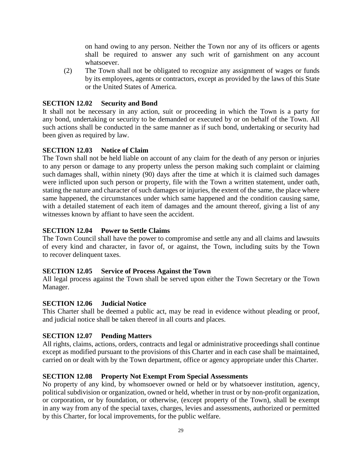on hand owing to any person. Neither the Town nor any of its officers or agents shall be required to answer any such writ of garnishment on any account whatsoever.

(2) The Town shall not be obligated to recognize any assignment of wages or funds by its employees, agents or contractors, except as provided by the laws of this State or the United States of America.

### **SECTION 12.02 Security and Bond**

It shall not be necessary in any action, suit or proceeding in which the Town is a party for any bond, undertaking or security to be demanded or executed by or on behalf of the Town. All such actions shall be conducted in the same manner as if such bond, undertaking or security had been given as required by law.

### **SECTION 12.03 Notice of Claim**

The Town shall not be held liable on account of any claim for the death of any person or injuries to any person or damage to any property unless the person making such complaint or claiming such damages shall, within ninety (90) days after the time at which it is claimed such damages were inflicted upon such person or property, file with the Town a written statement, under oath, stating the nature and character of such damages or injuries, the extent of the same, the place where same happened, the circumstances under which same happened and the condition causing same, with a detailed statement of each item of damages and the amount thereof, giving a list of any witnesses known by affiant to have seen the accident.

### **SECTION 12.04 Power to Settle Claims**

The Town Council shall have the power to compromise and settle any and all claims and lawsuits of every kind and character, in favor of, or against, the Town, including suits by the Town to recover delinquent taxes.

### **SECTION 12.05 Service of Process Against the Town**

All legal process against the Town shall be served upon either the Town Secretary or the Town Manager.

### **SECTION 12.06 Judicial Notice**

This Charter shall be deemed a public act, may be read in evidence without pleading or proof, and judicial notice shall be taken thereof in all courts and places.

### **SECTION 12.07 Pending Matters**

All rights, claims, actions, orders, contracts and legal or administrative proceedings shall continue except as modified pursuant to the provisions of this Charter and in each case shall be maintained, carried on or dealt with by the Town department, office or agency appropriate under this Charter.

### **SECTION 12.08 Property Not Exempt From Special Assessments**

No property of any kind, by whomsoever owned or held or by whatsoever institution, agency, political subdivision or organization, owned or held, whether in trust or by non-profit organization, or corporation, or by foundation, or otherwise, (except property of the Town), shall be exempt in any way from any of the special taxes, charges, levies and assessments, authorized or permitted by this Charter, for local improvements, for the public welfare.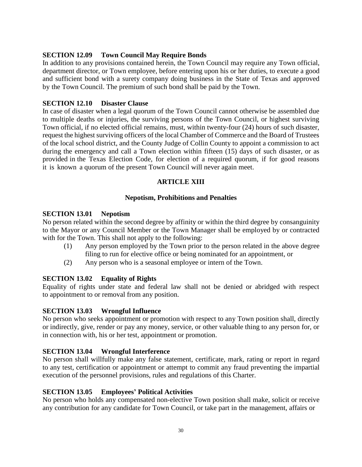### **SECTION 12.09 Town Council May Require Bonds**

In addition to any provisions contained herein, the Town Council may require any Town official, department director, or Town employee, before entering upon his or her duties, to execute a good and sufficient bond with a surety company doing business in the State of Texas and approved by the Town Council. The premium of such bond shall be paid by the Town.

### **SECTION 12.10 Disaster Clause**

In case of disaster when a legal quorum of the Town Council cannot otherwise be assembled due to multiple deaths or injuries, the surviving persons of the Town Council, or highest surviving Town official, if no elected official remains, must, within twenty-four (24) hours of such disaster, request the highest surviving officers of the local Chamber of Commerce and the Board of Trustees of the local school district, and the County Judge of Collin County to appoint a commission to act during the emergency and call a Town election within fifteen (15) days of such disaster, or as provided in the Texas Election Code, for election of a required quorum, if for good reasons it is known a quorum of the present Town Council will never again meet.

### **ARTICLE XIII**

### **Nepotism, Prohibitions and Penalties**

### **SECTION 13.01 Nepotism**

No person related within the second degree by affinity or within the third degree by consanguinity to the Mayor or any Council Member or the Town Manager shall be employed by or contracted with for the Town. This shall not apply to the following:

- (1) Any person employed by the Town prior to the person related in the above degree filing to run for elective office or being nominated for an appointment, or
- (2) Any person who is a seasonal employee or intern of the Town.

### **SECTION 13.02 Equality of Rights**

Equality of rights under state and federal law shall not be denied or abridged with respect to appointment to or removal from any position.

### **SECTION 13.03 Wrongful Influence**

No person who seeks appointment or promotion with respect to any Town position shall, directly or indirectly, give, render or pay any money, service, or other valuable thing to any person for, or in connection with, his or her test, appointment or promotion.

### **SECTION 13.04 Wrongful Interference**

No person shall willfully make any false statement, certificate, mark, rating or report in regard to any test, certification or appointment or attempt to commit any fraud preventing the impartial execution of the personnel provisions, rules and regulations of this Charter.

### **SECTION 13.05 Employees' Political Activities**

No person who holds any compensated non-elective Town position shall make, solicit or receive any contribution for any candidate for Town Council, or take part in the management, affairs or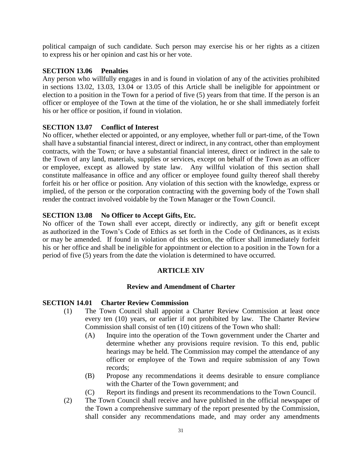political campaign of such candidate. Such person may exercise his or her rights as a citizen to express his or her opinion and cast his or her vote.

### **SECTION 13.06 Penalties**

Any person who willfully engages in and is found in violation of any of the activities prohibited in sections 13.02, 13.03, 13.04 or 13.05 of this Article shall be ineligible for appointment or election to a position in the Town for a period of five (5) years from that time. If the person is an officer or employee of the Town at the time of the violation, he or she shall immediately forfeit his or her office or position, if found in violation.

### **SECTION 13.07 Conflict of Interest**

No officer, whether elected or appointed, or any employee, whether full or part-time, of the Town shall have a substantial financial interest, direct or indirect, in any contract, other than employment contracts, with the Town; or have a substantial financial interest, direct or indirect in the sale to the Town of any land, materials, supplies or services, except on behalf of the Town as an officer or employee, except as allowed by state law. Any willful violation of this section shall constitute malfeasance in office and any officer or employee found guilty thereof shall thereby forfeit his or her office or position. Any violation of this section with the knowledge, express or implied, of the person or the corporation contracting with the governing body of the Town shall render the contract involved voidable by the Town Manager or the Town Council.

### **SECTION 13.08 No Officer to Accept Gifts, Etc.**

No officer of the Town shall ever accept, directly or indirectly, any gift or benefit except as authorized in the Town's Code of Ethics as set forth in the Code of Ordinances, as it exists or may be amended. If found in violation of this section, the officer shall immediately forfeit his or her office and shall be ineligible for appointment or election to a position in the Town for a period of five (5) years from the date the violation is determined to have occurred.

### **ARTICLE XIV**

### **Review and Amendment of Charter**

### **SECTION 14.01 Charter Review Commission**

- (1) The Town Council shall appoint a Charter Review Commission at least once every ten (10) years, or earlier if not prohibited by law. The Charter Review Commission shall consist of ten (10) citizens of the Town who shall:
	- (A) Inquire into the operation of the Town government under the Charter and determine whether any provisions require revision. To this end, public hearings may be held. The Commission may compel the attendance of any officer or employee of the Town and require submission of any Town records;
	- (B) Propose any recommendations it deems desirable to ensure compliance with the Charter of the Town government; and
	- (C) Report its findings and present its recommendations to the Town Council.
- (2) The Town Council shall receive and have published in the official newspaper of the Town a comprehensive summary of the report presented by the Commission, shall consider any recommendations made, and may order any amendments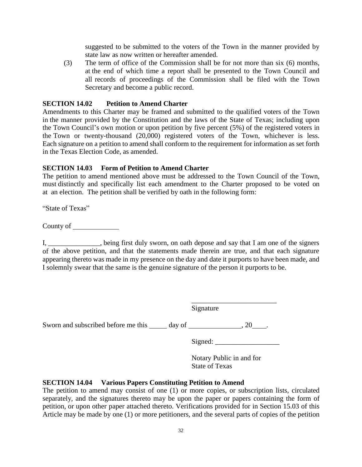suggested to be submitted to the voters of the Town in the manner provided by state law as now written or hereafter amended.

(3) The term of office of the Commission shall be for not more than six (6) months, at the end of which time a report shall be presented to the Town Council and all records of proceedings of the Commission shall be filed with the Town Secretary and become a public record.

### **SECTION 14.02 Petition to Amend Charter**

Amendments to this Charter may be framed and submitted to the qualified voters of the Town in the manner provided by the Constitution and the laws of the State of Texas; including upon the Town Council's own motion or upon petition by five percent (5%) of the registered voters in the Town or twenty-thousand (20,000) registered voters of the Town, whichever is less. Each signature on a petition to amend shall conform to the requirement for information as set forth in the Texas Election Code, as amended.

### **SECTION 14.03 Form of Petition to Amend Charter**

The petition to amend mentioned above must be addressed to the Town Council of the Town, must distinctly and specifically list each amendment to the Charter proposed to be voted on at an election. The petition shall be verified by oath in the following form:

"State of Texas"

County of

I, \_\_\_\_\_\_\_\_\_\_\_\_\_\_\_, being first duly sworn, on oath depose and say that I am one of the signers of the above petition, and that the statements made therein are true, and that each signature appearing thereto was made in my presence on the day and date it purports to have been made, and I solemnly swear that the same is the genuine signature of the person it purports to be.

Signature

Sworn and subscribed before me this  $\qquad \qquad$  day of  $\qquad \qquad . 20 \qquad .$ 

Signed: \_\_\_\_\_\_\_\_\_\_\_\_\_\_\_\_\_\_

\_\_\_\_\_\_\_\_\_\_\_\_\_\_\_\_\_\_\_\_\_\_\_\_

Notary Public in and for State of Texas

### **SECTION 14.04 Various Papers Constituting Petition to Amend**

The petition to amend may consist of one (1) or more copies, or subscription lists, circulated separately, and the signatures thereto may be upon the paper or papers containing the form of petition, or upon other paper attached thereto. Verifications provided for in Section 15.03 of this Article may be made by one (1) or more petitioners, and the several parts of copies of the petition